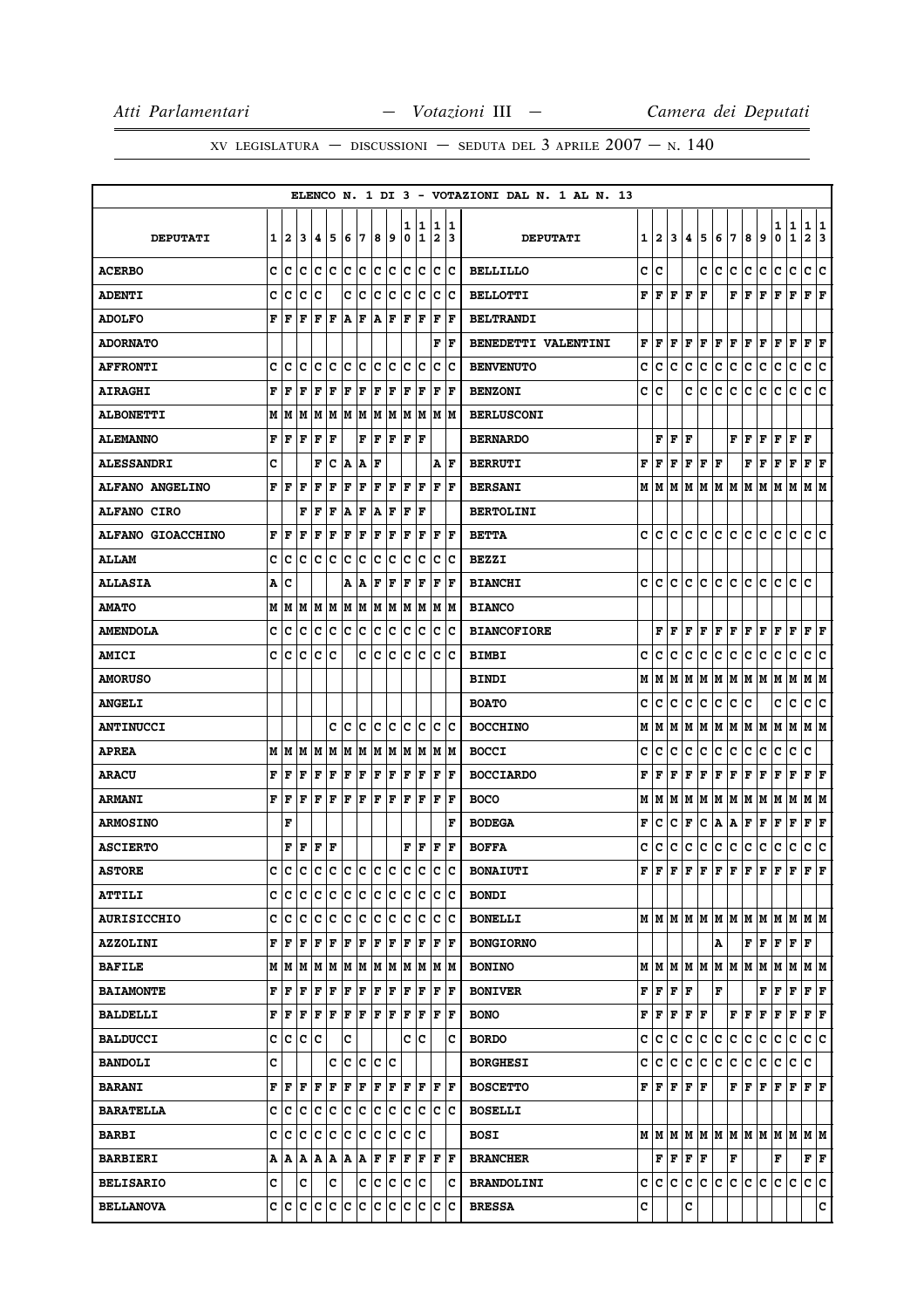|                          |   |                                             |           |     |         |     |             |             |     |        |        |                              |           | ELENCO N. 1 DI 3 - VOTAZIONI DAL N. 1 AL N. 13 |   |                                      |                                           |         |     |                                     |     |     |     |                                                                       |                   |                              |         |
|--------------------------|---|---------------------------------------------|-----------|-----|---------|-----|-------------|-------------|-----|--------|--------|------------------------------|-----------|------------------------------------------------|---|--------------------------------------|-------------------------------------------|---------|-----|-------------------------------------|-----|-----|-----|-----------------------------------------------------------------------|-------------------|------------------------------|---------|
| <b>DEPUTATI</b>          | 1 | 2                                           | 3         | 14  | 5       | 6   | 17          | 8           | 9   | ı<br>0 | 1<br>1 | 1<br>$\overline{\mathbf{2}}$ | 11.<br>13 | <b>DEPUTATI</b>                                |   | 1   2                                | 3                                         | 4       | 5   | 6                                   | 7   | 8   | 9   | 1<br>0                                                                | 1<br>$\mathbf{1}$ | 1<br>$\overline{\mathbf{2}}$ | 1<br>13 |
| <b>ACERBO</b>            | c | Iс                                          | Iс        | Iс  | Ιc      | c   | c           | c           | c   | c      | c      | $\mathbf C$                  | Ιc        | <b>BELLILLO</b>                                | c | c                                    |                                           |         | c   | c                                   | c   | c   | c   | c                                                                     | $\mathbf C$       | c                            | c       |
| <b>ADENTI</b>            | c | c                                           | c         | c   |         | c   | c           | c           | c   | c      | c      | c                            | c         | <b>BELLOTTI</b>                                | F | F                                    | F                                         | F       | F   |                                     | F   | F   | F   | F                                                                     | $\mathbf F$       | ${\bf F}$ ${\bf F}$          |         |
| <b>ADOLFO</b>            | F | ١F                                          | l F       | F   | F       | A   | F           | A           | F   | ΙF     | F      | $\mathbf F$                  | F         | <b>BELTRANDI</b>                               |   |                                      |                                           |         |     |                                     |     |     |     |                                                                       |                   |                              |         |
| <b>ADORNATO</b>          |   |                                             |           |     |         |     |             |             |     |        |        | F                            | lF.       | <b>BENEDETTI VALENTINI</b>                     | F | l F                                  | F                                         | F       | F   | F                                   | F   | F   | F   | F                                                                     | F                 | $ {\bf F}  {\bf F} $         |         |
| <b>AFFRONTI</b>          | c | Iс                                          | c         | lc  | Ιc      | Ιc  | lc.         | c           | c   | c      | Ιc     | c                            | Iс        | <b>BENVENUTO</b>                               | c | c                                    | c                                         | c       | с   | c                                   | c   | с   | c   | c                                                                     | $\mathbf C$       | c                            | c       |
| <b>AIRAGHI</b>           | F | l F                                         | F         | l F | F       | F   | F           | F           | F   | F      | F      | F                            | F         | <b>BENZONI</b>                                 | c | c                                    |                                           | c       | lc. | с                                   | c   | c   | c   | c                                                                     | c                 | c c                          |         |
| <b>ALBONETTI</b>         |   | MИ                                          | M         | lМ  | M M     |     | M           | M           | M   | M      | M      | M                            | lМ        | <b>BERLUSCONI</b>                              |   |                                      |                                           |         |     |                                     |     |     |     |                                                                       |                   |                              |         |
| <b>ALEMANNO</b>          | F | l F                                         | F         | F   | F       |     | F           | F           | F   | lF.    | F      |                              |           | <b>BERNARDO</b>                                |   |                                      | ${\bf F} \,   \, {\bf F} \,   \, {\bf F}$ |         |     |                                     | F   | F   | F   | F F                                                                   |                   | F                            |         |
| <b>ALESSANDRI</b>        | C |                                             |           | F   | c       | A   | ١A          | l F         |     |        |        | А                            | l F       | <b>BERRUTI</b>                                 | F | F                                    | F                                         | F       | F   | l F                                 |     | F   | F   | F                                                                     | $\mathbf F$       | F F                          |         |
| <b>ALFANO ANGELINO</b>   | F | ١F                                          | ΙF        | F   | l F     | F   | ΙF          | ΙF          | F   | F      | F      | F                            | l F       | <b>BERSANI</b>                                 |   | MIM                                  | M                                         | lм      | M   | M M                                 |     | M   | M   | M                                                                     | M                 | M M                          |         |
| <b>ALFANO CIRO</b>       |   |                                             | F         | F   | F       | A   | F           | A           | F   | F      | F      |                              |           | <b>BERTOLINI</b>                               |   |                                      |                                           |         |     |                                     |     |     |     |                                                                       |                   |                              |         |
| <b>ALFANO GIOACCHINO</b> | F | F                                           | F         | F   | F       | F   | F           | F           | F   | F      | F      | F                            | F         | <b>BETTA</b>                                   | c | c                                    | c                                         | c       | c   | c                                   | lc. | c   | c   | c                                                                     | c                 | c                            | ١c      |
| <b>ALLAM</b>             | c | Ιc                                          | ΙC        | Ιc  | Iс      | Iс  | Iс          | Ιc          | Iс  | c      | Ιc     | c                            | Ιc        | <b>BEZZI</b>                                   |   |                                      |                                           |         |     |                                     |     |     |     |                                                                       |                   |                              |         |
| <b>ALLASIA</b>           | Α | c                                           |           |     |         | A   | A           | F           | F   | ΙF     | F      | F                            | F         | <b>BIANCHI</b>                                 | c | c                                    | c                                         | с       | с   | с                                   | с   | c   | с   | с                                                                     | c                 | c                            |         |
| <b>AMATO</b>             | М | M                                           | M         | MM  |         | M   | M           | M  M        |     | M      | M      | М                            | lМ        | <b>BIANCO</b>                                  |   |                                      |                                           |         |     |                                     |     |     |     |                                                                       |                   |                              |         |
| <b>AMENDOLA</b>          | C | c                                           | c         | c   | c       | lc. | c           | lc          | lc. | lc.    | lc.    | c                            | Ιc        | <b>BIANCOFIORE</b>                             |   | F                                    | F                                         | F       | l F | F                                   | F   | F   | l F | F                                                                     | F                 | F                            | F       |
| <b>AMICI</b>             | c | ١c                                          | lc        | Iс  | Ιc      |     | c           | Iс          | с   | c      | ١c     | c                            | ١c        | <b>BIMBI</b>                                   | c | c                                    | c                                         | c       | c   | с                                   | c   | c   | с   | с                                                                     | c                 | c                            | ١c      |
| <b>AMORUSO</b>           |   |                                             |           |     |         |     |             |             |     |        |        |                              |           | <b>BINDI</b>                                   | М | М                                    | M                                         | М       | M   | M M                                 |     | M M |     | M                                                                     | M                 | M  M                         |         |
| <b>ANGELI</b>            |   |                                             |           |     |         |     |             |             |     |        |        |                              |           | <b>BOATO</b>                                   | c | c                                    | c                                         | c       | c   | c                                   | c   | c   |     | c                                                                     | c                 | c                            | Iс      |
| <b>ANTINUCCI</b>         |   |                                             |           |     | c       | Iс  | Iс          | lc.         | Iс  | c      | Iс     | c                            | Ιc        | <b>BOCCHINO</b>                                | М | M                                    | M                                         | м       | M   | M                                   | M   | M   | M   | M                                                                     | M                 | M  M                         |         |
| <b>APREA</b>             |   | MIM                                         | lМ        | lм  | lм      | lМ  | M           | lМ          | M   | M      | M      | M                            | lм        | <b>BOCCI</b>                                   | c | c                                    | с                                         | c       | с   | c                                   | с   | с   | c   | с                                                                     | c                 | с                            |         |
| <b>ARACU</b>             | F | F                                           | F         | F   | F       | F   | F           | F           | F   | F      | F      | $\mathbf F$                  | F         | <b>BOCCIARDO</b>                               | F | F                                    | F                                         | F       | F   | F                                   | F   | F   | F   | F                                                                     | F                 | $ {\bf F}  {\bf F} $         |         |
| <b>ARMANI</b>            | F | l F                                         | l F       | lF. | ΙF      | F   | F           | F           | F   | F      | F      | l F                          | F         | <b>BOCO</b>                                    | М | M                                    | M                                         | М       | M   | M                                   | M   | M   | M   | M                                                                     | M                 | M  M                         |         |
| <b>ARMOSINO</b>          |   | F                                           |           |     |         |     |             |             |     |        |        |                              | F         | <b>BODEGA</b>                                  | F | с                                    | c                                         | F       | с   | Α                                   | A   | F   | F   | F                                                                     | F                 | F                            | F       |
| <b>ASCIERTO</b>          |   | F                                           | F         | F   | ١F      |     |             |             |     | F      | F      | F                            | lF.       | <b>BOFFA</b>                                   | c | с                                    | c                                         | с       | с   | c                                   | c   | с   | c   | c                                                                     | $\mathbf C$       | c                            | c       |
| <b>ASTORE</b>            | c | ١c                                          | ١c        | Ιc  | lc      |     |             | le le le le |     | lc.    | lc     | lc.                          | lc.       | <b>BONAIUTI</b>                                | F | ١F                                   | F                                         | F       | F   | F                                   | F   | F   | F   | F                                                                     | F                 | $\mathbf{F}$                 | F       |
| <b>ATTILI</b>            |   | c  c  c                                     |           |     | C C C C |     |             | c c         |     | c      | c      | IС                           | ∣c        | <b>BONDI</b>                                   |   |                                      |                                           |         |     |                                     |     |     |     |                                                                       |                   |                              |         |
| <b>AURISICCHIO</b>       | C | lc                                          | lc        | c   | c       | c   | c           | c           | c   | lc.    | Iс     | c                            | lc        | <b>BONELLI</b>                                 |   |                                      |                                           |         |     |                                     |     |     |     | MMMMMMMMMMMMMMM                                                       |                   |                              |         |
| <b>AZZOLINI</b>          |   | F F                                         | F         | F   | F       | F   | F           | F           | F   | F      | F      | $\mathbf F$                  | F         | <b>BONGIORNO</b>                               |   |                                      |                                           |         |     | Α                                   |     |     |     | $\bf{F} \bf{F} \bf{F} \bf{F} \bf{F}$                                  |                   |                              |         |
| <b>BAFILE</b>            |   | $M$ $ M$ $ M$ $ M$ $ M$ $ M$ $ M$ $ M$ $ M$ |           |     |         |     |             |             |     |        | M M    |                              | M M       | <b>BONINO</b>                                  |   |                                      |                                           |         |     | $M$ $M$ $M$ $M$ $M$ $M$ $M$ $M$ $M$ |     |     |     | M                                                                     | M M M             |                              |         |
| <b>BAIAMONTE</b>         |   | FF                                          | F         | F   | F       | F   | F           | F           | F   | F      | F      | F                            | ١F        | <b>BONIVER</b>                                 |   | ${\bf F}$ $\bf{F}$ $\bf{F}$ $\bf{F}$ |                                           |         |     | F                                   |     |     | F   | F                                                                     | F                 | $ {\bf F}  {\bf F} $         |         |
| <b>BALDELLI</b>          |   | F  F                                        | F F F F F |     |         |     |             | F F         |     | F      | F      | F                            | F         | <b>BONO</b>                                    | F | F F                                  |                                           |         | F F |                                     | F   | F   | F   | F                                                                     | F                 | F F                          |         |
| <b>BALDUCCI</b>          |   | c  c  c  c                                  |           |     |         | c   |             |             |     |        | c  c   |                              | c         | <b>BORDO</b>                                   | c | c                                    | c                                         | c       | lc. | c                                   | c   | c   | c   | c                                                                     | c                 | c c                          |         |
| <b>BANDOLI</b>           | c |                                             |           |     |         |     |             | c c c c c   |     |        |        |                              |           | <b>BORGHESI</b>                                | c | c.                                   | c                                         | c       | c   | c                                   | c   | c.  | c   | C                                                                     | c                 | c                            |         |
| <b>BARANI</b>            | F | F                                           | ΙF        | lF. | l F     | F   | F           | F           | F   | lF.    | F      | $\mathbf F$                  | ΙF        | <b>BOSCETTO</b>                                | F | lF.                                  | F                                         |         | F F |                                     | F   | F   | F   | F                                                                     | F                 | $\bf{F}$ $\bf{F}$            |         |
| <b>BARATELLA</b>         |   | c c c                                       |           | c c |         | c   | ∣c          | c           | c   | lc.    | lc     |                              | lc lc     | <b>BOSELLI</b>                                 |   |                                      |                                           |         |     |                                     |     |     |     |                                                                       |                   |                              |         |
| <b>BARBI</b>             |   | c c c c c                                   |           |     |         | c c |             | c c         |     | lc.    | ١c     |                              |           | <b>BOSI</b>                                    |   |                                      |                                           |         |     |                                     |     |     |     | $M$   $M$   $M$   $M$   $M$   $M$   $M$   $M$   $M$   $M$   $M$   $M$ |                   |                              |         |
| <b>BARBIERI</b>          |   | A   A   A   A   A   A                       |           |     |         |     | ١A          | F F         |     | F      | F      | F                            | ١F        | <b>BRANCHER</b>                                |   |                                      |                                           | F F F F |     |                                     | F   |     |     | F                                                                     |                   | F F                          |         |
| <b>BELISARIO</b>         | c |                                             | c         |     | c       |     |             | c c c       |     |        | c c    |                              | c         | <b>BRANDOLINI</b>                              |   | c c c                                |                                           | c       | c.  | c                                   | c   | c.  | lc. | c c                                                                   |                   | c c                          |         |
| <b>BELLANOVA</b>         |   | c  c                                        |           |     | C C C C |     | $ {\bf c} $ | c           | c   | c      | Iс     | c                            | lc        | <b>BRESSA</b>                                  | c |                                      |                                           | с       |     |                                     |     |     |     |                                                                       |                   |                              | c       |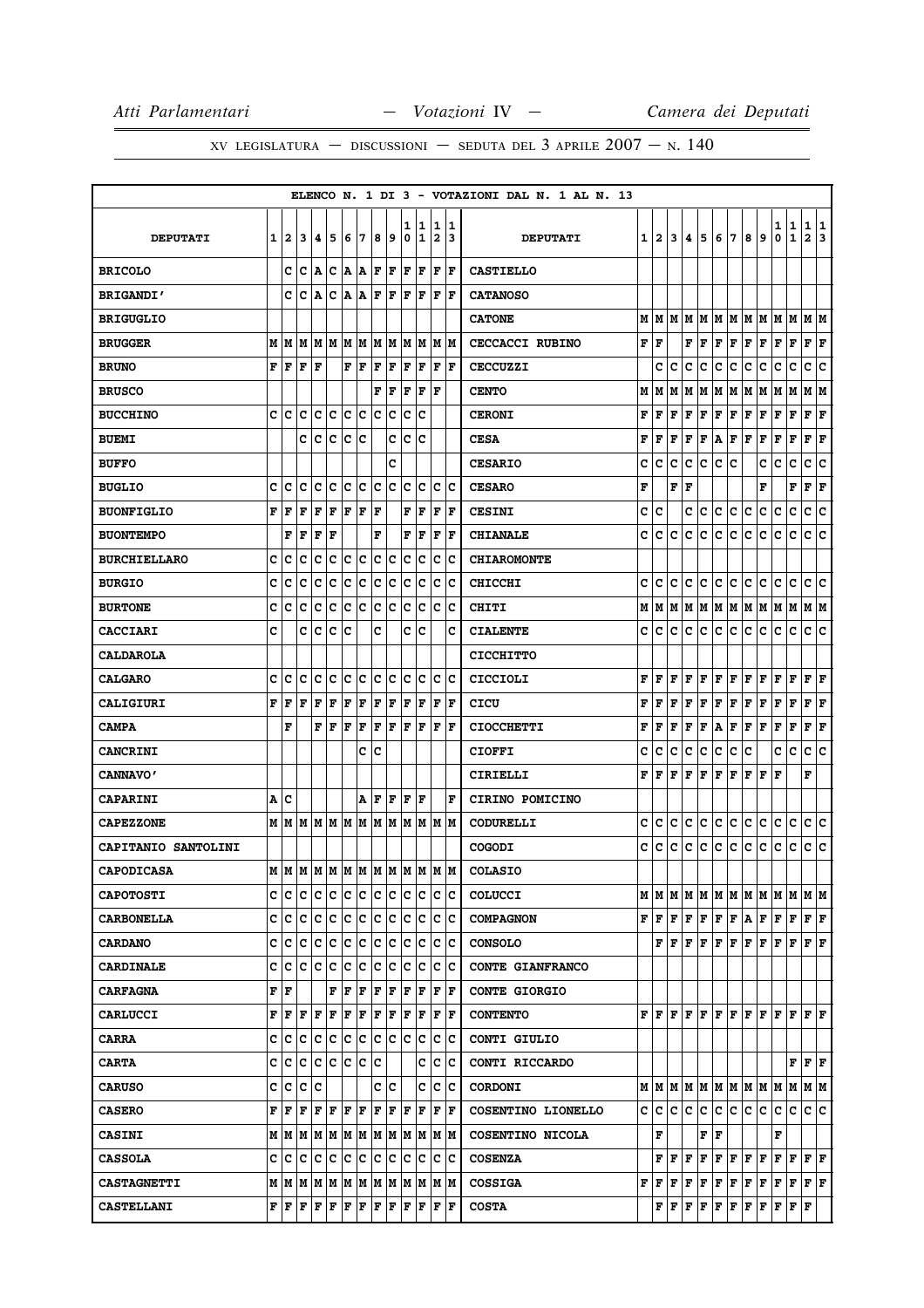|                     |   |                           |                                      |                      |           |                     |     |                      |      |        |                      |                                       |          | ELENCO N. 1 DI 3 - VOTAZIONI DAL N. 1 AL N. 13 |       |       |       |                   |     |                           |                               |     |     |                                                                                                                                                                                                                                                                                                                                                                                               |                    |                      |     |
|---------------------|---|---------------------------|--------------------------------------|----------------------|-----------|---------------------|-----|----------------------|------|--------|----------------------|---------------------------------------|----------|------------------------------------------------|-------|-------|-------|-------------------|-----|---------------------------|-------------------------------|-----|-----|-----------------------------------------------------------------------------------------------------------------------------------------------------------------------------------------------------------------------------------------------------------------------------------------------------------------------------------------------------------------------------------------------|--------------------|----------------------|-----|
| <b>DEPUTATI</b>     | 1 | $\mathbf{2}$              | 3                                    | 14.                  | 15        | 6                   | 7   | 8                    | و    | 1<br>0 | 11<br>1              | 1<br>2                                | 11<br>13 | <b>DEPUTATI</b>                                |       | 1   2 | 3     | 4                 | 5   | 6                         | 7                             | 8   | 9   | 1<br>0                                                                                                                                                                                                                                                                                                                                                                                        | 1<br>$\mathbf 1$   | 1 1<br>$\mathbf{2}$  | 3   |
| <b>BRICOLO</b>      |   |                           | C C A C A A F F                      |                      |           |                     |     |                      |      |        | $ {\bf F}  {\bf F} $ | F  F                                  |          | <b>CASTIELLO</b>                               |       |       |       |                   |     |                           |                               |     |     |                                                                                                                                                                                                                                                                                                                                                                                               |                    |                      |     |
| <b>BRIGANDI'</b>    |   | c                         | ١c                                   | A                    | Iс        |                     | A A | F                    | F    | F      | F                    | F                                     | ١F       | <b>CATANOSO</b>                                |       |       |       |                   |     |                           |                               |     |     |                                                                                                                                                                                                                                                                                                                                                                                               |                    |                      |     |
| <b>BRIGUGLIO</b>    |   |                           |                                      |                      |           |                     |     |                      |      |        |                      |                                       |          | <b>CATONE</b>                                  |       | MMM   |       |                   | M M |                           | M M                           | MM  |     | M                                                                                                                                                                                                                                                                                                                                                                                             | lм                 | M  M                 |     |
| <b>BRUGGER</b>      |   |                           |                                      |                      |           |                     |     |                      |      |        |                      | M  M  M  M  M  M  M  M  M  M  M  M  M |          | <b>CECCACCI RUBINO</b>                         | F   F |       |       |                   | FF  | F                         | F                             | F   | F   | F                                                                                                                                                                                                                                                                                                                                                                                             | F                  | $ {\bf F}  {\bf F} $ |     |
| <b>BRUNO</b>        | F | l F                       | F                                    | F                    |           | ${\bf F}$ ${\bf F}$ |     | F                    | F    | F      | F                    | F                                     | lF.      | <b>CECCUZZI</b>                                |       | c     | c     | c                 | c   | c                         | с                             | с   | c   | с                                                                                                                                                                                                                                                                                                                                                                                             | с                  | c                    | Iс  |
| <b>BRUSCO</b>       |   |                           |                                      |                      |           |                     |     | F                    | F    | F      | F                    | l F                                   |          | <b>CENTO</b>                                   | М     | M     | M     | М                 | M   | M                         | M                             | M   | M   | M                                                                                                                                                                                                                                                                                                                                                                                             | M                  | M  M                 |     |
| <b>BUCCHINO</b>     | C | ١c                        | lc                                   | Iс                   | c         | c                   | c   | c                    | c    | c      | c                    |                                       |          | <b>CERONI</b>                                  | F     | F     | F     | F                 | F   | $\mathbf F$               | F                             | F   | F   | F                                                                                                                                                                                                                                                                                                                                                                                             | F                  | F                    | F   |
| <b>BUEMI</b>        |   |                           | C                                    | lc                   | c         | c                   | c   |                      | C    | lc.    | lc                   |                                       |          | <b>CESA</b>                                    | F     | F     | F     | $\mathbf F$       | F   | A                         | F                             | F   | F   | F                                                                                                                                                                                                                                                                                                                                                                                             | $\bar{\mathbf{F}}$ | F                    | F   |
| <b>BUFFO</b>        |   |                           |                                      |                      |           |                     |     |                      | c    |        |                      |                                       |          | <b>CESARIO</b>                                 | c     | c     | c     | c                 | c   | c                         | c                             |     | c   | c                                                                                                                                                                                                                                                                                                                                                                                             | c                  | с                    | c   |
| <b>BUGLIO</b>       | c | c                         | Ιc                                   | Iс                   | Ιc        | Ιc                  | ΙC  | Ιc                   | Ιc   | с      | Ιc                   | с                                     | lc       | <b>CESARO</b>                                  | F     |       | F     | l F               |     |                           |                               |     | F   |                                                                                                                                                                                                                                                                                                                                                                                               | $\mathbf F$        | F                    | F   |
| <b>BUONFIGLIO</b>   | F | F                         | F                                    | F                    | F         | F                   | F   | F                    |      | F      | F                    | F                                     | F        | <b>CESINI</b>                                  | c     | c     |       | c                 | c   | c.                        | c                             | c   | c   | c                                                                                                                                                                                                                                                                                                                                                                                             | c                  | c c                  |     |
| <b>BUONTEMPO</b>    |   | F                         | F                                    | F                    | F         |                     |     | F                    |      | F      | F                    | F                                     | l F      | <b>CHIANALE</b>                                | c     | c     | c     | c                 | с   | с                         | с                             | с   | c   | с                                                                                                                                                                                                                                                                                                                                                                                             | с                  | с                    | lc. |
| <b>BURCHIELLARO</b> | c | c                         | c                                    | c                    | c         | c                   | c   | c                    | c    | c      | c                    | $\mathbf C$                           | lc       | <b>CHIAROMONTE</b>                             |       |       |       |                   |     |                           |                               |     |     |                                                                                                                                                                                                                                                                                                                                                                                               |                    |                      |     |
| <b>BURGIO</b>       | C | lc                        | lc                                   | c                    | c         | c                   | c   | c                    | c    | c      | Ιc                   | lc.                                   | Ιc       | <b>CHICCHI</b>                                 | c     | c     | c     | c                 | c   | с                         | lc.                           | с   | c   | c                                                                                                                                                                                                                                                                                                                                                                                             | c                  | c                    | lc. |
| <b>BURTONE</b>      | C | lc                        | c                                    | Iс                   | lc        | Ιc                  | ١c  | lc                   | lc   | C      | Ιc                   | c                                     | Ιc       | <b>CHITI</b>                                   | М     | M     | M     | М                 | M   | M                         | M                             | M   | M   | M                                                                                                                                                                                                                                                                                                                                                                                             | M                  | M  M                 |     |
| <b>CACCIARI</b>     | C |                           | c                                    | Ιc                   | Ιc        | Ιc                  |     | c                    |      | c      | Ιc                   |                                       | c        | <b>CIALENTE</b>                                | c     | lc.   | c     | c                 | c   | c.                        | c                             | c.  | lc. | c                                                                                                                                                                                                                                                                                                                                                                                             | Iс                 | c c                  |     |
| <b>CALDAROLA</b>    |   |                           |                                      |                      |           |                     |     |                      |      |        |                      |                                       |          | <b>CICCHITTO</b>                               |       |       |       |                   |     |                           |                               |     |     |                                                                                                                                                                                                                                                                                                                                                                                               |                    |                      |     |
| <b>CALGARO</b>      |   | c  c                      | lc.                                  | c c                  |           | c c                 |     |                      | c c  |        | lc Ic                | lc Ic                                 |          | <b>CICCIOLI</b>                                | F     | lF.   | F     | lF.               | F   | $ {\bf F}  {\bf F} $      |                               | F   | ΙF  | $ {\bf F}  {\bf F} $                                                                                                                                                                                                                                                                                                                                                                          |                    | $ {\bf F}  {\bf F} $ |     |
| CALIGIURI           | F | lF                        | l F                                  | F                    | F         | F                   | F   | ΙF                   | F    | ΙF     | F                    | F                                     | lF.      | CICU                                           | F     | l F   | F     | F                 | F   | F                         | F                             | F   | F   | F                                                                                                                                                                                                                                                                                                                                                                                             | F                  | F                    | F   |
| <b>CAMPA</b>        |   | F                         |                                      | $ {\bf F}  {\bf F} $ |           | F                   | F   | F                    | lF.  | lF.    | F                    | F                                     | ١F       | <b>CIOCCHETTI</b>                              | F     | F     | F     | $\mathbf F$       | F   | A                         | F                             | F F |     | F                                                                                                                                                                                                                                                                                                                                                                                             | F                  | $ {\bf F}  {\bf F} $ |     |
| <b>CANCRINI</b>     |   |                           |                                      |                      |           |                     | C   | lc                   |      |        |                      |                                       |          | <b>CIOFFI</b>                                  | c     | c     | c     | c                 | с   | c                         | c                             | с   |     | c                                                                                                                                                                                                                                                                                                                                                                                             | $\mathbf C$        | c                    | c   |
| <b>CANNAVO'</b>     |   |                           |                                      |                      |           |                     |     |                      |      |        |                      |                                       |          | CIRIELLI                                       | F     | F     | F     | F                 | F   | $\mathbf F$               | F                             | F   | F   | F                                                                                                                                                                                                                                                                                                                                                                                             |                    | F                    |     |
| <b>CAPARINI</b>     |   | A   C                     |                                      |                      |           |                     | Α   | l F                  | F    | lF.    | lF                   |                                       | ΙF       | CIRINO POMICINO                                |       |       |       |                   |     |                           |                               |     |     |                                                                                                                                                                                                                                                                                                                                                                                               |                    |                      |     |
| <b>CAPEZZONE</b>    |   |                           |                                      |                      |           |                     |     |                      |      |        |                      |                                       |          | CODURELLI                                      | c     | c     | c     | c                 | lc. | c                         | lc.                           | c   | c   | c                                                                                                                                                                                                                                                                                                                                                                                             | c                  | c c                  |     |
| CAPITANIO SANTOLINI |   |                           |                                      |                      |           |                     |     |                      |      |        |                      |                                       |          | <b>COGODI</b>                                  | c     | c     | c     | c                 | c   | c                         | lc.                           | c   | c   | c                                                                                                                                                                                                                                                                                                                                                                                             | c                  | c c                  |     |
| <b>CAPODICASA</b>   |   |                           |                                      |                      |           |                     |     |                      |      |        |                      | MIMIMIMIMIMIMIMIMIMIMI                |          | <b>COLASIO</b>                                 |       |       |       |                   |     |                           |                               |     |     |                                                                                                                                                                                                                                                                                                                                                                                               |                    |                      |     |
| <b>CAPOTOSTI</b>    |   |                           | c c c c c                            |                      |           | c c                 |     | c c                  |      |        | c c                  | c c                                   |          | <b>COLUCCI</b>                                 |       |       |       |                   |     |                           |                               |     |     | $M$   $M$   $M$   $M$   $M$   $M$   $M$   $M$   $M$   $M$   $M$   $M$                                                                                                                                                                                                                                                                                                                         |                    |                      |     |
| <b>CARBONELLA</b>   |   |                           | c c c                                |                      | c c c c   |                     |     | c c                  |      | lc.    | Iс                   | lc.                                   | Iс       | <b>COMPAGNON</b>                               |       |       |       |                   |     |                           |                               |     |     | $\mathbf{F} \,   \, \mathbf{F} \,   \, \mathbf{F} \,   \, \mathbf{F} \,   \, \mathbf{F} \,   \, \mathbf{F} \,   \, \mathbf{F} \,   \, \mathbf{F} \,   \, \mathbf{F} \,   \, \mathbf{F} \,   \, \mathbf{F} \,   \, \mathbf{F} \,   \, \mathbf{F} \,   \, \mathbf{F} \,   \, \mathbf{F} \,   \, \mathbf{F} \,   \, \mathbf{F} \,   \, \mathbf{F} \,   \, \mathbf{F} \,   \, \mathbf{F} \,   \,$ |                    | F F                  |     |
| <b>CARDANO</b>      |   |                           | c  c  c  c  c                        |                      |           | Ιc                  | ∣c  | Ιc                   | Iс   | Iс     | Ιc                   | c c                                   |          | <b>CONSOLO</b>                                 |       |       |       |                   |     |                           |                               |     |     | ${\bf F}\, \,{\bf F}\, \,{\bf F}\, \,{\bf F}\, \,{\bf F}\, \,{\bf F}\, \,{\bf F}\, \,{\bf F}\, \,{\bf F}\, \,{\bf F}\, \,{\bf F}\, \,{\bf F}\, \,{\bf F}\,$                                                                                                                                                                                                                                   |                    |                      |     |
| <b>CARDINALE</b>    |   |                           | c c c c c c c                        |                      |           |                     | lc. | lc.                  | Iс   | lc.    | Ιc                   | c c                                   |          | <b>CONTE GIANFRANCO</b>                        |       |       |       |                   |     |                           |                               |     |     |                                                                                                                                                                                                                                                                                                                                                                                               |                    |                      |     |
| <b>CARFAGNA</b>     |   | $\mathbf{F}   \mathbf{F}$ |                                      |                      | F         | l F                 | F   | F                    | F    | F      | F                    | F                                     | ١F       | <b>CONTE GIORGIO</b>                           |       |       |       |                   |     |                           |                               |     |     |                                                                                                                                                                                                                                                                                                                                                                                               |                    |                      |     |
| <b>CARLUCCI</b>     |   |                           | F   F   F   F   F   F                |                      |           |                     |     | $ {\bf F}  {\bf F} $ |      |        | F  F                 | $ {\bf F}  {\bf F} $                  |          | <b>CONTENTO</b>                                |       |       |       |                   |     |                           |                               |     |     | ${\bf F}\, \,{\bf F}\, \,{\bf F}\, \,{\bf F}\, \,{\bf F}\, \,{\bf F}\, \,{\bf F}\, \,{\bf F}\, \,{\bf F}\, \,{\bf F}\, \,{\bf F}\, \,{\bf F}\, \,{\bf F}\, \,{\bf F}\, \,$                                                                                                                                                                                                                    |                    |                      |     |
| <b>CARRA</b>        | c | Ιc                        | Iс                                   | Ιc                   | c         | c                   | c   | c                    | Iс   | Ιc     | Iс                   | c                                     | ∣c       | CONTI GIULIO                                   |       |       |       |                   |     |                           |                               |     |     |                                                                                                                                                                                                                                                                                                                                                                                               |                    |                      |     |
| <b>CARTA</b>        |   | c c c                     |                                      |                      | c c c c c |                     |     |                      |      |        | c                    | c                                     | Ιc       | CONTI RICCARDO                                 |       |       |       |                   |     |                           |                               |     |     |                                                                                                                                                                                                                                                                                                                                                                                               |                    | F F F                |     |
| <b>CARUSO</b>       |   |                           | c c c c                              |                      |           |                     |     |                      | c  c |        | c                    | c c                                   |          | <b>CORDONI</b>                                 |       |       |       |                   |     |                           |                               |     |     | $M$   $M$   $M$   $M$   $M$   $M$   $M$   $M$   $M$   $M$   $M$   $M$                                                                                                                                                                                                                                                                                                                         |                    |                      |     |
| <b>CASERO</b>       |   | F F                       | F                                    | lF.                  | F         | F                   | F   | F                    | F    | F      | F                    | F                                     | ١F       | COSENTINO LIONELLO                             |       |       |       | c   c   c   c   c |     |                           | c c c c                       |     |     | lC.                                                                                                                                                                                                                                                                                                                                                                                           | lc.                | c c                  |     |
| <b>CASINI</b>       |   |                           |                                      |                      |           |                     |     |                      |      |        |                      |                                       |          | COSENTINO NICOLA                               |       | F     |       |                   |     | ${\bf F} \,   \, {\bf F}$ |                               |     |     | F                                                                                                                                                                                                                                                                                                                                                                                             |                    |                      |     |
| <b>CASSOLA</b>      |   | c Ic                      |                                      |                      |           |                     |     | c c                  |      | IC.    | Iс                   | Iс                                    | ΙC       | <b>COSENZA</b>                                 |       |       | F F F |                   | F   |                           | $ {\bf F}  {\bf F}  {\bf F} $ |     | F   | F F F F                                                                                                                                                                                                                                                                                                                                                                                       |                    |                      |     |
| <b>CASTAGNETTI</b>  |   |                           |                                      |                      |           |                     |     |                      |      |        |                      | M  M                                  |          | <b>COSSIGA</b>                                 |       |       |       |                   |     |                           |                               |     |     | ${\bf F}\, \,{\bf F}\, \,{\bf F}\, \,{\bf F}\, \,{\bf F}\, \,{\bf F}\, \,{\bf F}\, \,{\bf F}\, \,{\bf F}\, \,{\bf F}\, \,{\bf F}\, \,{\bf F}\, \,{\bf F}\, \,{\bf F}\,$                                                                                                                                                                                                                       |                    |                      |     |
| <b>CASTELLANI</b>   |   |                           | ${\bf F}$ $\bf  F$ $\bf  F$ $\bf  F$ |                      | F         | ΙF                  | F   | ΙF                   | F    | F      | F                    | F                                     | F        | <b>COSTA</b>                                   |       |       | FF    |                   |     | F F F F                   |                               | F F |     | $F$ $F$ $F$                                                                                                                                                                                                                                                                                                                                                                                   |                    |                      |     |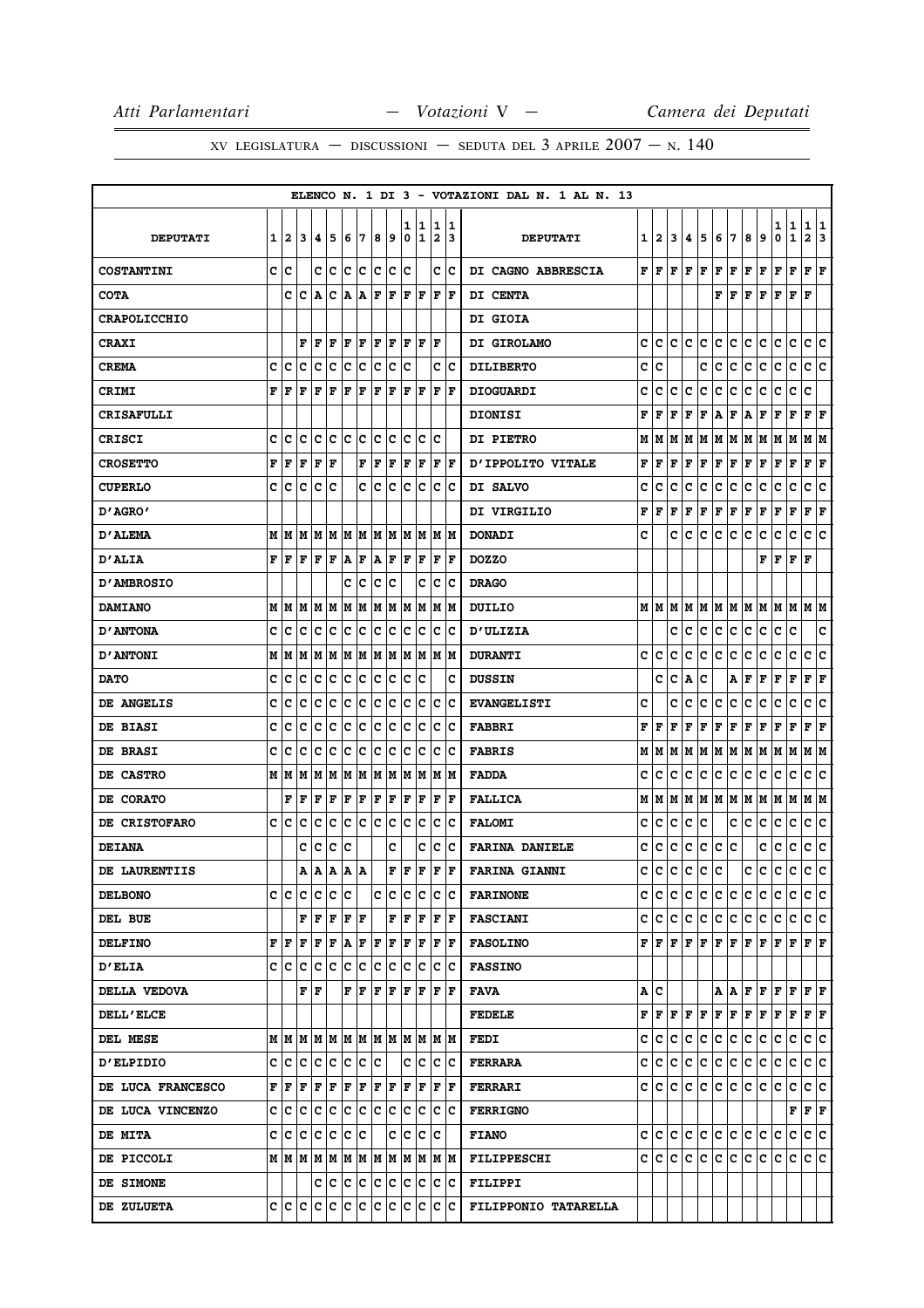|                     |   |                   |    |             |     |       |     |         |             |        |                        |                              |                      | ELENCO N. 1 DI 3 - VOTAZIONI DAL N. 1 AL N. 13 |    |              |     |                                |     |                           |     |     |              |        |                              |                                                                                                                                                                         |    |
|---------------------|---|-------------------|----|-------------|-----|-------|-----|---------|-------------|--------|------------------------|------------------------------|----------------------|------------------------------------------------|----|--------------|-----|--------------------------------|-----|---------------------------|-----|-----|--------------|--------|------------------------------|-------------------------------------------------------------------------------------------------------------------------------------------------------------------------|----|
| <b>DEPUTATI</b>     | 1 | $\mathbf{z}$      | 3  | 14.         | 5   | 6     | 17  | 8       | و ا         | 1<br>0 | 11<br>1                | 1<br>$\overline{\mathbf{2}}$ | 11<br>13             | <b>DEPUTATI</b>                                | 11 | $\mathbf{2}$ | 3   | 4.                             | 5   | 6                         | 17  | 8   | 9            | 1<br>0 | $\mathbf{1}$<br>$\mathbf{1}$ | 1 1<br>$\mathbf{2}$                                                                                                                                                     | 3  |
| <b>COSTANTINI</b>   |   | c  c              |    | c c         |     | c c   |     | c c     |             | Ιc     |                        |                              | c  c                 | DI CAGNO ABBRESCIA                             |    | FIF          |     | $ {\bf F}  {\bf F} $ ${\bf F}$ |     | F                         | F   | F F |              | F      | F                            | $ {\bf F}  {\bf F} $                                                                                                                                                    |    |
| <b>COTA</b>         |   | c                 | ١c | A           | Ιc  | A   A |     | F       | F           | F      | ١F                     | l F                          | ١F                   | DI CENTA                                       |    |              |     |                                |     | F                         | F   | F   | F            | F      | F                            | F                                                                                                                                                                       |    |
| <b>CRAPOLICCHIO</b> |   |                   |    |             |     |       |     |         |             |        |                        |                              |                      | <b>DI GIOIA</b>                                |    |              |     |                                |     |                           |     |     |              |        |                              |                                                                                                                                                                         |    |
| <b>CRAXI</b>        |   |                   |    | F F         | ١F  |       |     | F F F F |             | F F    |                        | ١F                           |                      | DI GIROLAMO                                    | c  | lc.          | lc. | c                              | lc. | c                         | lc. | C   | lc.          | c      | lc.                          | c c                                                                                                                                                                     |    |
| <b>CREMA</b>        | c | с                 | c  | c           | c   | c     | c   | c       | c           | c      |                        | c                            | ΙC                   | <b>DILIBERTO</b>                               | c  | c            |     |                                | c   | c                         | с   | c   | c            | c      | с                            | c                                                                                                                                                                       | Iс |
| CRIMI               | F | ١F                | F  | l F         | ΙF  | F     | F   | F       | F           | lF.    | F                      | F                            | ١F                   | <b>DIOGUARDI</b>                               | c  | c            | c   | c                              | с   | c                         | с   | с   | c            | с      | с                            | c                                                                                                                                                                       |    |
| <b>CRISAFULLI</b>   |   |                   |    |             |     |       |     |         |             |        |                        |                              |                      | <b>DIONISI</b>                                 | F  | F            | F   | F                              | F   | А                         | F   | Α   | F            | F      | F                            | F                                                                                                                                                                       | F  |
| <b>CRISCI</b>       | C | c                 | lc | lc.         | lc  | lc.   | lc. | lc      | lc.         | c      | lc                     | c                            |                      | <b>DI PIETRO</b>                               | М  | M            | M   | М                              | M   | M                         | M   | M   | M            | M      | M                            | M  M                                                                                                                                                                    |    |
| <b>CROSETTO</b>     | F | F                 | F  | F           | F   |       | F   | F       | F           | F      | F                      | F                            | ١F                   | <b>D'IPPOLITO VITALE</b>                       | F  | F            | F   | F                              | F   | $\mathbf F$               | F   | F   | F            | F      | F                            | ${\bf F}$ ${\bf F}$                                                                                                                                                     |    |
| <b>CUPERLO</b>      | c | Ιc                | c  | Ιc          | Ιc  |       | c   | Ιc      | c           | lc.    | Ιc                     | c                            | ΙC                   | DI SALVO                                       | c  | c            | c   | c                              | с   | c                         | c   | с   | c            | c      | с                            | c                                                                                                                                                                       | c  |
| "AGRO מ             |   |                   |    |             |     |       |     |         |             |        |                        |                              |                      | <b>DI VIRGILIO</b>                             | F  | F            | F   | F                              | F   | F                         | F   | F   | F            | F      | F                            | F<br>F                                                                                                                                                                  |    |
| <b>D'ALEMA</b>      |   | MM                | IМ | lМ          | M   | M     | M   |         | M M         | lм     | lМ                     | lм                           | lМ                   | <b>DONADI</b>                                  | c  |              | c   | c                              | с   | с                         | с   | с   | c            | с      | с                            | c                                                                                                                                                                       | Iс |
| <b>D'ALIA</b>       |   | FF                |    | $F$ $F$ $F$ |     | A F   |     | A F     |             | F      | F                      | F                            | ١F                   | <b>DOZZO</b>                                   |    |              |     |                                |     |                           |     |     | F            | F      | F                            | F                                                                                                                                                                       |    |
| <b>D'AMBROSIO</b>   |   |                   |    |             |     | c     | ١c  | c       | с           |        | c                      | c                            | Ιc                   | <b>DRAGO</b>                                   |    |              |     |                                |     |                           |     |     |              |        |                              |                                                                                                                                                                         |    |
| <b>DAMIANO</b>      |   | MIM               | lМ | M           | M   | M     | M   |         | M  M        | lм     | lМ                     | lм                           | lМ                   | DUILIO                                         |    | MIM          | M   | M                              | M   | M M                       |     | M M |              | M M    |                              | M  M                                                                                                                                                                    |    |
| <b>D'ANTONA</b>     | c | Ιc                | Iс | Ιc          | Ιc  | lc.   | ΙC  | lc.     | Iс          | Iс     | Iс                     | Iс                           | Ιc                   | <b>D'ULIZIA</b>                                |    |              | с   | c                              | c   | c                         | c   | c   | c            | c      | c                            |                                                                                                                                                                         | c  |
| <b>D'ANTONI</b>     |   | MM                | M  | IM IM       |     |       | M M | M M     |             | M      | M                      | IM IM                        |                      | <b>DURANTI</b>                                 | c  | Iс           | c   | c                              | c   | с                         | c   | с   | c            | с      | с                            | с                                                                                                                                                                       | c  |
| <b>DATO</b>         | c | lc                | Ιc | c           | Iс  | c     | с   | c       | ∣c          | Iс     | Iс                     |                              | c                    | <b>DUSSIN</b>                                  |    | c            | c   | А                              | с   |                           | A   | F   | $\mathbf{F}$ | F      | F                            | Г<br>ŀF                                                                                                                                                                 |    |
| DE ANGELIS          | c | c                 | c  | Iс          | c   | c     | c   | c       | c           | c      | Ιc                     | c                            | Iс                   | <b>EVANGELISTI</b>                             | c  |              | c   | c                              | с   | c                         | c   | c   | c            | c      | с                            | с                                                                                                                                                                       | c  |
| DE BIASI            | c | c                 | c  | c           | c   | c     | c   | c       | c           | c      | c                      | $\mathbf C$                  | Ιc                   | <b>FABBRI</b>                                  | F  | l F          | F   | F                              | F   | F                         | F   | F   | F            | F      | F                            | F                                                                                                                                                                       | F  |
| <b>DE BRASI</b>     | C | Iс                | c  | Iс          | Ιc  | Ιc    | c   | c       | с           | c      | Ιc                     | c                            | Ιc                   | <b>FABRIS</b>                                  | М  | M            | M   | М                              | M   | M                         | M   | M   | M            | M      | M                            | M  M                                                                                                                                                                    |    |
| DE CASTRO           |   | MIM               | M  | M           | M   |       | M M | M M     |             |        | M M                    | lм                           | IМ                   | <b>FADDA</b>                                   | c  | c            | с   | c                              | c   | c                         | c   | c   | с            | c      | c                            | c                                                                                                                                                                       | ΙC |
| DE CORATO           |   | F                 | F  | F           | F   | F     | F   | F       | F           | F      | F                      | F                            | lF.                  | <b>FALLICA</b>                                 | Μ  | M            | M   |                                |     | мімімім                   |     | M M |              | MM     |                              | M  M                                                                                                                                                                    |    |
| DE CRISTOFARO       |   | c Ic              | c  | c           | c   | c     | lc. | lc      | c           | lc.    | c                      | $\mathbf C$                  | Ιc                   | <b>FALOMI</b>                                  | c  | c            | c   | c                              | с   |                           | c   | c   | c            | с      | c                            | с                                                                                                                                                                       | c  |
| <b>DEIANA</b>       |   |                   | c  | c           | c   | Ιc    |     |         | c           |        | c                      | c                            | Ιc                   | <b>FARINA DANIELE</b>                          | c  | с            | c   | c                              | lc. | c                         | c   |     | c            | c      | c                            | c                                                                                                                                                                       | c  |
| DE LAURENTIIS       |   |                   | A  | A           | lA. | ١A    | lA. |         | F           | lF.    | F                      | F                            | F                    | <b>FARINA GIANNI</b>                           | C  | c            | c   | c                              | c   | c                         |     | с   | c            | с      | $\mathbf C$                  | c                                                                                                                                                                       | ١c |
| <b>DELBONO</b>      |   | c c c c c c       |    |             |     |       |     | c c     |             | c c    |                        | c c                          |                      | <b>FARINONE</b>                                |    |              |     |                                |     | c c c c c c c c c c       |     |     |              |        |                              | c c c c                                                                                                                                                                 |    |
| DEL BUE             |   |                   |    | F F F F F   |     |       |     |         | F F F       |        |                        | F F                          |                      | <b>FASCIANI</b>                                |    |              |     |                                |     | c c c c c c c c c c       |     |     |              | c c    |                              | c c                                                                                                                                                                     |    |
| <b>DELFINO</b>      |   | FF                | ΙF | F  F        |     | A     | F   | F       | F           |        | F  F                   |                              | $ {\bf F}  {\bf F} $ | <b>FASOLINO</b>                                |    |              |     |                                |     |                           |     |     |              |        |                              | ${\bf F}\, \,{\bf F}\, \,{\bf F}\, \,{\bf F}\, \,{\bf F}\, \,{\bf F}\, \,{\bf F}\, \,{\bf F}\, \,{\bf F}\, \,{\bf F}\, \,{\bf F}\, \,{\bf F}\, \,{\bf F}\,$             |    |
| <b>D'ELIA</b>       |   |                   |    |             |     |       |     |         |             |        |                        |                              |                      | <b>FASSINO</b>                                 |    |              |     |                                |     |                           |     |     |              |        |                              |                                                                                                                                                                         |    |
| DELLA VEDOVA        |   |                   |    | FF          |     |       |     |         | F F F F F F |        |                        | F                            | ١F                   | FAVA                                           |    | A   C        |     |                                |     |                           |     |     |              |        |                              | $A  A F F F F F F F$                                                                                                                                                    |    |
| <b>DELL'ELCE</b>    |   |                   |    |             |     |       |     |         |             |        |                        |                              |                      | <b>FEDELE</b>                                  |    |              |     |                                |     |                           |     |     |              |        |                              | ${\bf F}\, \,{\bf F}\, \,{\bf F}\, \,{\bf F}\, \,{\bf F}\, \,{\bf F}\, \,{\bf F}\, \,{\bf F}\, \,{\bf F}\, \,{\bf F}\, \,{\bf F}\, \,{\bf F}\, \,{\bf F}\, \,{\bf F}\,$ |    |
| DEL MESE            |   |                   |    |             |     |       |     |         |             |        |                        | MMMMMMMMMMMMMMM              |                      | <b>FEDI</b>                                    | c  | lc.          | c   | c                              | c   | c.                        | c   | c.  | с            | c      | С                            | c c                                                                                                                                                                     |    |
| <b>D'ELPIDIO</b>    |   | c c c c c c c c c |    |             |     |       |     |         |             |        | $ {\rm c}\, {\rm c}\>$ | c c                          |                      | <b>FERRARA</b>                                 |    |              |     |                                |     | c c c c c c c c           |     | c c |              | lc.    | ∣c.                          | c c                                                                                                                                                                     |    |
| DE LUCA FRANCESCO   |   |                   |    |             |     |       |     |         |             |        |                        |                              |                      | <b>FERRARI</b>                                 |    |              |     |                                |     | c c c c c c c c c c c     |     |     |              | lc.    | lc.                          | c c                                                                                                                                                                     |    |
| DE LUCA VINCENZO    |   | C C C C C C C C C |    |             |     |       |     |         |             | IC.    | ΙC                     | c c                          |                      | <b>FERRIGNO</b>                                |    |              |     |                                |     |                           |     |     |              |        |                              | F F F                                                                                                                                                                   |    |
| <b>DE MITA</b>      |   | c c c c c c c c   |    |             |     |       |     |         |             |        |                        | c c c c                      |                      | <b>FIANO</b>                                   |    |              |     |                                |     | c c c c c c c c c c c c c |     |     |              |        |                              | c c                                                                                                                                                                     |    |
| DE PICCOLI          |   |                   |    |             |     |       |     |         |             |        |                        |                              |                      | <b>FILIPPESCHI</b>                             |    |              |     |                                |     |                           |     |     |              |        |                              |                                                                                                                                                                         |    |
| DE SIMONE           |   |                   |    |             |     |       |     |         |             |        |                        | c  c  c  c  c  c  c  c  c  c |                      | <b>FILIPPI</b>                                 |    |              |     |                                |     |                           |     |     |              |        |                              |                                                                                                                                                                         |    |
| DE ZULUETA          |   |                   |    |             |     |       |     |         |             |        |                        |                              |                      | FILIPPONIO TATARELLA                           |    |              |     |                                |     |                           |     |     |              |        |                              |                                                                                                                                                                         |    |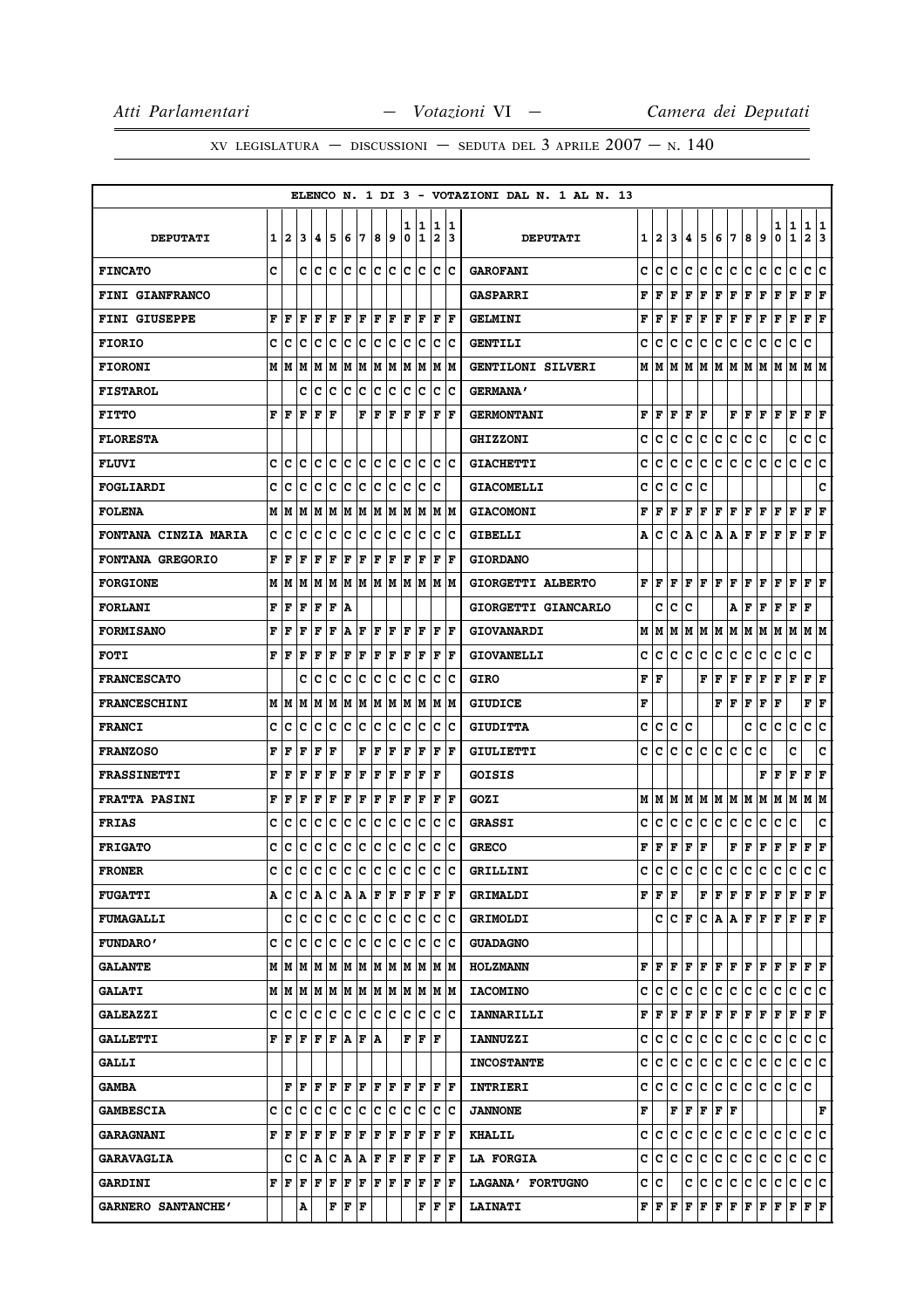|                             |   |                           |         |                                       |           |     |       |                      |       |        |         |                              |                      | ELENCO N. 1 DI 3 - VOTAZIONI DAL N. 1 AL N. 13 |   |                                       |     |                      |           |                                                                                        |     |     |                      |        |                  |                         |         |
|-----------------------------|---|---------------------------|---------|---------------------------------------|-----------|-----|-------|----------------------|-------|--------|---------|------------------------------|----------------------|------------------------------------------------|---|---------------------------------------|-----|----------------------|-----------|----------------------------------------------------------------------------------------|-----|-----|----------------------|--------|------------------|-------------------------|---------|
| <b>DEPUTATI</b>             | 1 | $\overline{a}$            | 3       | 14.                                   | 5         | 6   | 7     | 8                    | و ا   | 1<br>0 | 11<br>1 | 1<br>$\overline{\mathbf{2}}$ | 11<br>13             | <b>DEPUTATI</b>                                | 1 | $\mathbf{2}$                          | 3   | 4                    | 5         | 6                                                                                      | 17  | 8   | 9                    | 1<br>0 | 1<br>$\mathbf 1$ | 1<br>$\mathbf{2}$       | 11<br>3 |
| <b>FINCATO</b>              | c |                           | c       | lc.                                   | lc        | lc. | lc.   | c c                  |       | lc.    | lc      | lc.                          | Ιc                   | <b>GAROFANI</b>                                | c | c                                     | c   | c                    | lc.       | c                                                                                      | lc. | c   | c                    | c      | c                | c c                     |         |
| <b>FINI GIANFRANCO</b>      |   |                           |         |                                       |           |     |       |                      |       |        |         |                              |                      | <b>GASPARRI</b>                                | F | F                                     | F   | F                    | F         | $\mathbf F$                                                                            | F   | F   | F                    | F      | F                | F                       | F       |
| <b>FINI GIUSEPPE</b>        | F | F                         | F       | F                                     | l F       | F   | F     | ΙF                   | F     | F      | F       | F                            | lF.                  | <b>GELMINI</b>                                 | F | F                                     | F   | F                    | F         | F                                                                                      | F   | F   | F                    | F      | $\mathbf F$      | F                       | l F     |
| <b>FIORIO</b>               | c | ١c                        | Ιc      | Ιc                                    | Iс        | lc. | ΙC    | lc.                  | Iс    | lc.    | Iс      | c                            | Iс                   | <b>GENTILI</b>                                 | c | c                                     | c   | c                    | c         | c                                                                                      | c   | c   | c                    | c      | c                | c                       |         |
| <b>FIORONI</b>              |   | MИ                        | lМ      | lМ                                    | M         | lМ  | M     | M                    | M     | M      | M       | M                            | lМ                   | GENTILONI SILVERI                              | М | lМ                                    | M   | M                    | M         | IМ                                                                                     | lм  | lМ  | M                    | M      | M                | M  M                    |         |
| <b>FISTAROL</b>             |   |                           | c       | c                                     | c         | Ιc  | c     | c                    | c     | c      | Ιc      | c                            | Ιc                   | <b>GERMANA'</b>                                |   |                                       |     |                      |           |                                                                                        |     |     |                      |        |                  |                         |         |
| <b>FITTO</b>                | F | l F                       | F       | F                                     | F         |     | F     | l F                  | F     | ΙF     | ΙF      | F                            | ١F                   | <b>GERMONTANI</b>                              | F | F                                     | F   | F                    | l F       |                                                                                        | F   | F   | F                    | F      | l F              | F                       | ΙF      |
| <b>FLORESTA</b>             |   |                           |         |                                       |           |     |       |                      |       |        |         |                              |                      | <b>GHIZZONI</b>                                | C | c                                     | C   | c                    | c         | $\mathbf{C}$                                                                           | c   | c   | C                    |        | C                | c                       | lc.     |
| <b>FLUVI</b>                | C | Iс                        | с       | Iс                                    | Ιc        | lc  | ١c    | lc.                  | lc    | lc.    | lc      | c                            | ١c                   | <b>GIACHETTI</b>                               | c | c                                     | c   | c                    | c         | c                                                                                      | c   | c   | c                    | Iс     | c                | c                       | lc.     |
| FOGLIARDI                   | C | Iс                        | c       | lc                                    | Ιc        | Ιc  | lc.   | Ιc                   | c     | c      | c       | c                            |                      | <b>GIACOMELLI</b>                              | c | c                                     | c   | c                    | C         |                                                                                        |     |     |                      |        |                  |                         | C       |
| <b>FOLENA</b>               |   | M   M                     | lМ      | MM                                    |           |     | MM    |                      | MM    |        | M M     |                              | M  M                 | <b>GIACOMONI</b>                               | F | F                                     | F   | $\mathbf F$          | F         | F F                                                                                    |     | F   | F                    | F      | F                | F                       | ΙF      |
| <b>FONTANA CINZIA MARIA</b> | c | Iс                        | c       | с                                     | c         | c   | c     | c                    | с     | c      | c       | c                            | Iс                   | <b>GIBELLI</b>                                 | А | c                                     | c   | Α                    | с         | Α                                                                                      | A   | F   | F                    | F      | F                | F                       | ΙF      |
| FONTANA GREGORIO            | F | l F                       | l F     | F                                     | ΙF        | F   | F     | F                    | F     | F      | F       | F                            | l F                  | <b>GIORDANO</b>                                |   |                                       |     |                      |           |                                                                                        |     |     |                      |        |                  |                         |         |
| <b>FORGIONE</b>             | М | lМ                        | lМ      | lм                                    | lм        |     |       |                      | MMMMM |        | M M     | IM IM                        |                      | GIORGETTI ALBERTO                              | F | l F                                   | F   | F                    | F         | lF.                                                                                    | F   | F   | F                    | F      | F                | $\mathbf{F} \mathbf{F}$ |         |
| <b>FORLANI</b>              | F | F                         | F       | F                                     | F         | ١A  |       |                      |       |        |         |                              |                      | GIORGETTI GIANCARLO                            |   | C                                     | c   | C                    |           |                                                                                        | A   | F   | F                    | F      | F                | F                       |         |
| <b>FORMISANO</b>            | F | F                         | l F     | l F                                   | ΙF        | lA. | l F   | F                    | F     | F      | F       | F                            | lF.                  | GIOVANARDI                                     | М | M                                     | M   |                      | M   M   M |                                                                                        | M   | M M |                      | M      | M                | M M                     |         |
| <b>FOTI</b>                 | F | ١F                        | ΙF      | F                                     | ΙF        | F   | F     | ΙF                   | F     | F      | F       | F                            | lF.                  | <b>GIOVANELLI</b>                              | c | c                                     | c   | с                    | c         | c                                                                                      | c   | с   | c                    | c      | с                | c                       |         |
| <b>FRANCESCATO</b>          |   |                           | c       | Ιc                                    | Ιc        | Ιc  | Iс    | lc.                  | Iс    | lc.    | Iс      | c                            | Ιc                   | <b>GIRO</b>                                    | F | l F                                   |     |                      | F         | $\mathbf F$                                                                            | F   | F   | F                    | F      | F                | $ {\bf F}  {\bf F} $    |         |
| <b>FRANCESCHINI</b>         |   | МM                        | M       | M                                     | M         | M   | M     | M                    | M     | M      | M       | M                            | lм                   | <b>GIUDICE</b>                                 | F |                                       |     |                      |           | F                                                                                      | F   | F   | F                    | F      |                  | F                       | F       |
| <b>FRANCI</b>               | c | c                         | lc      | c                                     | c         | c   | c     | c                    | c     | c      | Ιc      | $\mathbf C$                  | Ιc                   | <b>GIUDITTA</b>                                | c | c                                     | c   | c                    |           |                                                                                        |     | c   | с                    | с      | $\mathbf C$      | c                       | c       |
| <b>FRANZOSO</b>             | F | F                         | F       | F                                     | l F       |     | F     | l F                  | F     | l F    | F       | $\mathbf F$                  | l F                  | <b>GIULIETTI</b>                               | C | c                                     | C   | c                    | c         | c                                                                                      | lc. | c   | C                    |        | C                |                         | C       |
| <b>FRASSINETTI</b>          | F | F                         | F       | F                                     | F         | F   | ΙF    | ΙF                   | F     | ΙF     | ΙF      | F                            |                      | GOISIS                                         |   |                                       |     |                      |           |                                                                                        |     |     | F                    | F      | $\mathbf F$      | F                       | l F     |
| <b>FRATTA PASINI</b>        | F | l F                       | l F     | l F                                   | ΙF        | F   | l F   | F                    | F     | lF.    | F       | l F                          | lF.                  | GOZI                                           |   | MIM                                   | lм  |                      |           | MMMMMM                                                                                 |     |     | M                    | M M    |                  | M  M                    |         |
| <b>FRIAS</b>                | c | c                         | c       | Iс                                    | Ιc        | Ιc  | c     | c                    | c     | c      | c       | c                            | Ιc                   | <b>GRASSI</b>                                  | c | c                                     | c   | c                    | c         | $\mathbf c$                                                                            | c   | с   | c                    | с      | c                |                         | c       |
| <b>FRIGATO</b>              | c | Iс                        | c       | Iс                                    | Ιc        | c   | c     | c                    | c     | lc.    | Iс      | c                            | Ιc                   | <b>GRECO</b>                                   | F | F                                     | F   | F                    | F         |                                                                                        | F   | F   | F                    | F      | F                | F                       | ΙF      |
| <b>FRONER</b>               | C | c                         | c       | Iс                                    | c         | ∣c  | c     | c                    | c     | lc.    | c       | c                            | lc.                  | GRILLINI                                       | C | c                                     | c   | c                    | c         | c                                                                                      | c   | c   | c                    | c      | c                | c                       | c       |
| <b>FUGATTI</b>              |   | A  C                      |         | C A C A A F F                         |           |     |       |                      |       | lF.    | ١F      | F  F                         |                      | <b>GRIMALDI</b>                                |   | ${\bf F} \, \, {\bf F} \, \, {\bf F}$ |     |                      |           | $\mathbf{F} \left  \mathbf{F} \right  \mathbf{F} \left  \mathbf{F} \right  \mathbf{F}$ |     |     |                      | F F    |                  | $\bf{F}$ $\bf{F}$       |         |
| <b>FUMAGALLI</b>            |   |                           | c c     | c c                                   |           | c c |       | c c                  |       | lc.    | Ιc      | c                            | Iс                   | <b>GRIMOLDI</b>                                |   | c                                     |     | $ {\tt C}  {\tt F} $ |           |                                                                                        |     |     | $ C $ A $ A F F F F$ |        |                  | $\bf{F}$ $\bf{F}$       |         |
| <b>FUNDARO'</b>             |   | c Ic                      | ١c      | Ιc                                    | Ιc        | Iс  | ΙC    | Ιc                   | Iс    | c      | Ιc      | с                            | ١c                   | <b>GUADAGNO</b>                                |   |                                       |     |                      |           |                                                                                        |     |     |                      |        |                  |                         |         |
| <b>GALANTE</b>              |   |                           |         | M   M   M   M   M   M   M   M   M   M |           |     |       |                      |       |        |         | IM IM                        |                      | <b>HOLZMANN</b>                                |   |                                       |     |                      |           | ${\bf F}[{\bf F}[{\bf F}[{\bf F}[{\bf F}[{\bf F}[{\bf F}[{\bf F}[{\bf F}]]$            |     |     |                      | F      | lF.              | $\bf{F}$ $\bf{F}$       |         |
| <b>GALATI</b>               |   |                           |         |                                       |           |     |       |                      |       |        |         | IM IM                        |                      | <b>IACOMINO</b>                                | c | c                                     | c   | c                    | lc.       | c                                                                                      | lc. | lc. | c                    | c      | Iс               | c c                     |         |
| <b>GALEAZZI</b>             |   |                           |         | c  c  c  c  c  c  c  c  c             |           |     |       |                      |       |        | c c     | c                            | ΙC                   | <b>IANNARILLI</b>                              | F | F                                     | F   | F F                  |           | F F                                                                                    |     | F F |                      | F      | F                | $F$ $\bf{F}$            |         |
| <b>GALLETTI</b>             |   | F F                       | lF.     | F F A                                 |           |     | F   A |                      |       | F      | l F     | lF                           |                      | <b>IANNUZZI</b>                                | c | с                                     | c   | c                    | IС        | c                                                                                      | c   | c   | c                    | c      | c                | c c                     |         |
| <b>GALLI</b>                |   |                           |         |                                       |           |     |       |                      |       |        |         |                              |                      | <b>INCOSTANTE</b>                              | c | lc.                                   | c   | c                    | c         | c.                                                                                     | c   | c.  | c                    | c      | c                | c c                     |         |
| <b>GAMBA</b>                |   |                           | FF      | lF.                                   | ١F        | FF  |       | IF IF                |       |        | F  F    | IF IF                        |                      | <b>INTRIERI</b>                                | c | с                                     | c   | c                    | lc.       | c.                                                                                     | c   | C   | lc.                  | IС     | lc.              | lc.                     |         |
| <b>GAMBESCIA</b>            | c | ١c                        | lc.     | Ιc                                    | Ιc        | Iс  | ΙC    | ١c                   | Ιc    | lc.    | Ιc      | c                            | ΙC                   | <b>JANNONE</b>                                 | F |                                       |     | F  F                 | F         | F F                                                                                    |     |     |                      |        |                  |                         | F       |
| <b>GARAGNANI</b>            |   | F  F                      | F       | F                                     | F         | F   | F     | F                    | F     | F      | F       | F                            | F                    | <b>KHALIL</b>                                  |   | c c                                   | c   | c                    | с         | c c c c                                                                                |     |     |                      | lc.    | lc.              | c c                     |         |
| <b>GARAVAGLIA</b>           |   | c                         | $ C $ A |                                       | C A A F F |     |       |                      |       | F      | F       | F                            | F                    | <b>LA FORGIA</b>                               | c | c                                     | lc. | c                    | lc.       | c                                                                                      | c   | c   | c                    | c      | Iс               | c c                     |         |
| <b>GARDINI</b>              |   | ${\bf F}$ $\bf F$ $\bf F$ |         | F                                     | F         | F F |       | $ {\bf F}  {\bf F} $ |       | F      | F       |                              | $ {\bf F}  {\bf F} $ | LAGANA' FORTUGNO                               |   | c  c                                  |     | c                    | с         | c                                                                                      | c   | C.  | c                    | c      | c                | c c                     |         |
| GARNERO SANTANCHE'          |   |                           | Α       |                                       | F         | F   | F     |                      |       |        | F       | F                            | ١F                   | <b>LAINATI</b>                                 |   | ${\bf F}$ $\bf F$ $\bf F$             |     |                      |           | $ {\bf F}  {\bf F}  {\bf F}  {\bf F} $                                                 |     | F F |                      | F      | F                | F F                     |         |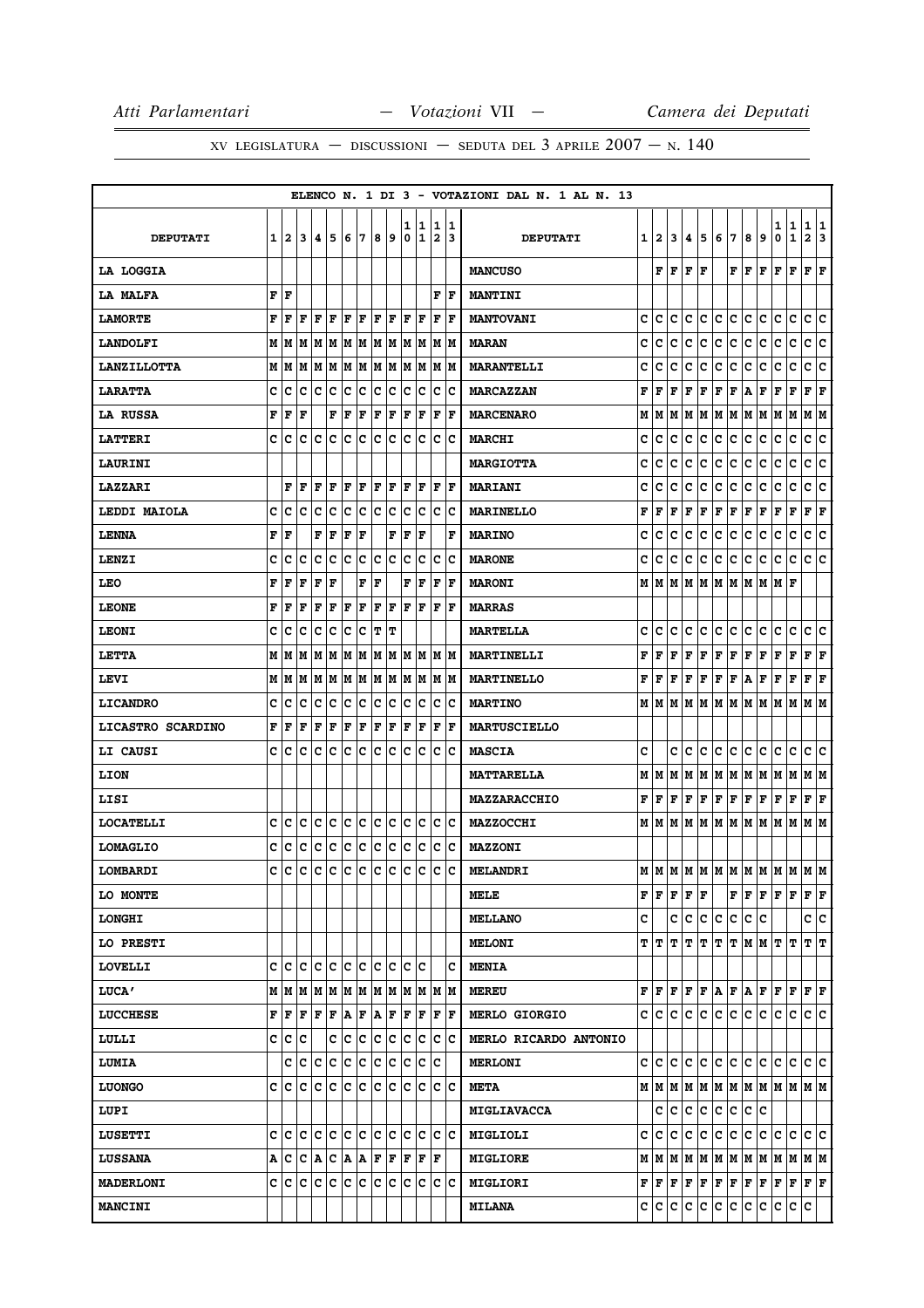|                    |              |     |                                    |   |                                                                 |         |    |     |    |        |                     |     |                      | ELENCO N. 1 DI 3 - VOTAZIONI DAL N. 1 AL N. 13                                                 |   |     |                |                                              |     |                      |             |     |                                 |        |                   |                      |    |
|--------------------|--------------|-----|------------------------------------|---|-----------------------------------------------------------------|---------|----|-----|----|--------|---------------------|-----|----------------------|------------------------------------------------------------------------------------------------|---|-----|----------------|----------------------------------------------|-----|----------------------|-------------|-----|---------------------------------|--------|-------------------|----------------------|----|
| <b>DEPUTATI</b>    | $\mathbf{1}$ | 2   | 3 <sup>1</sup>                     | 4 | 5                                                               | 6 7     |    | 89  |    | 1<br>0 | 1<br>11             |     | 1 1<br>213           | <b>DEPUTATI</b>                                                                                |   | 1 2 | 3 <sup>1</sup> | 4                                            | 5   | 6 7                  |             | 8   | 9                               | 1<br>0 | 1<br>$\mathbf{1}$ | 1 1<br>2 3           |    |
|                    |              |     |                                    |   |                                                                 |         |    |     |    |        |                     |     |                      |                                                                                                |   |     |                |                                              |     |                      |             |     |                                 |        |                   |                      |    |
| LA LOGGIA          |              |     |                                    |   |                                                                 |         |    |     |    |        |                     |     |                      | <b>MANCUSO</b>                                                                                 |   | F   | F              | F   F                                        |     |                      | FF          |     | lF.                             | F      | F                 | $ {\bf F}  {\bf F} $ |    |
| LA MALFA           |              | F F |                                    |   |                                                                 |         |    |     |    |        |                     |     | F F                  | <b>MANTINI</b>                                                                                 |   |     |                |                                              |     |                      |             |     |                                 |        |                   |                      |    |
| <b>LAMORTE</b>     | F            | F   | F                                  | F | ΙF                                                              | F       | ΙF | l F | ١F | F      | l F                 | ΙF  | ١F                   | <b>MANTOVANI</b>                                                                               | c | c   | с              | c                                            | с   | с                    | c           | с   | c                               | с      | c                 | с                    | Ιc |
| <b>LANDOLFI</b>    | М            | M   |                                    |   |                                                                 |         |    |     |    |        |                     |     |                      | <b>MARAN</b>                                                                                   | с | c   | с              | c                                            | c   | c                    | c           | c   | c                               | c      | c                 | c c                  |    |
| <b>LANZILLOTTA</b> | М            | M   | М                                  | M | M  M  M  M  M  M  M  M  M                                       |         |    |     |    |        |                     |     |                      | <b>MARANTELLI</b>                                                                              | c | C   | c              | c                                            | c   | c                    | c           | c   | c                               | c      | c                 | c                    | c  |
| <b>LARATTA</b>     | c            | c   | c                                  |   | c c                                                             | c c     |    | c c |    | lc.    | Iс                  | ΙC  | ΙC                   | <b>MARCAZZAN</b>                                                                               | F | l F | F              | F                                            | F   | $\mathbf F$          | F           | A   | F                               | F      | F                 | F                    | ١F |
| LA RUSSA           | F            | F   | F                                  |   | F                                                               | F       | F  | F   | F  | F      | F                   | F   | ΙF                   | <b>MARCENARO</b>                                                                               | M | M   | M              |                                              | M M | MM                   |             | M M |                                 | M M    |                   | M  M                 |    |
| <b>LATTERI</b>     | c            | c   | c                                  | c | lc.                                                             | lc      | ١c | lc. | lc | lc     | lc                  | Ιc  | ΙC                   | <b>MARCHI</b>                                                                                  | c | c   | c              | c                                            | c   | c                    | c           | c   | c                               | c      | c                 | c c                  |    |
| LAURINI            |              |     |                                    |   |                                                                 |         |    |     |    |        |                     |     |                      | <b>MARGIOTTA</b>                                                                               | c | c   | c              | c                                            | c   | с                    | c           | c   | c                               | c      | c                 | c c                  |    |
| <b>LAZZARI</b>     |              | F   | F                                  | F | F                                                               | F       | F  | F   | F  | F      | F                   |     | F  F                 | <b>MARIANI</b>                                                                                 | c | c   | c              | c                                            | c   | с                    | c           | c   | c                               | c      | с                 | c                    | c  |
| LEDDI MAIOLA       | c            | c   | c                                  | с | c                                                               | c       | c  | c c |    | c      | ∣c                  |     | c c                  | <b>MARINELLO</b>                                                                               | F | F   | F              | $\mathbf F$                                  | F   | $ {\bf F}  {\bf F} $ |             | F   | F                               | F      | F                 | $ {\bf F}  {\bf F} $ |    |
| <b>LENNA</b>       | F            | F   |                                    | F | $\mathbf F$                                                     | F       | F  |     | F  | ΙF     | lF                  |     | l F                  | <b>MARINO</b>                                                                                  | c | c   | c              | c                                            | c   | c                    | c           | с   | c                               | c      | c                 | c                    | c  |
| LENZI              | C            | c   | c                                  | c | C                                                               | c c     |    | lc. | c  | lc     | Ιc                  | Ιc  | lc                   | <b>MARONE</b>                                                                                  | c | c   | c              | c                                            | c   | c                    | c           | c   | c                               | c      | lc.               | c c                  |    |
| <b>LEO</b>         | F            | F   | F                                  | F | F                                                               |         | F  | F   |    | F      | F                   | F   | ١F                   | <b>MARONI</b>                                                                                  | M | M   |                |                                              |     | MMMMMMMM             |             |     |                                 | MF     |                   |                      |    |
| <b>LEONE</b>       | F            | F   | F                                  | F | F                                                               | F       | F  | F   | ΙF | ΙF     | lF.                 | F   | F                    | <b>MARRAS</b>                                                                                  |   |     |                |                                              |     |                      |             |     |                                 |        |                   |                      |    |
| <b>LEONI</b>       | c            | c   | c                                  | c | lc.                                                             | c c     |    | T T |    |        |                     |     |                      | <b>MARTELLA</b>                                                                                | c | c   | c              | c                                            | lc. | c                    | lc.         | C   | lc.                             | с      | Iс                | c c                  |    |
| LETTA              | М            | M   | М                                  | M | M  M  M  M  M  M  M  M  M                                       |         |    |     |    |        |                     |     |                      | <b>MARTINELLI</b>                                                                              | F | F   | F              | F                                            | F   | F                    | F           | F   | F                               | F      | F                 | F F                  |    |
| LEVI               | М            | lМ  |                                    |   | $M$   $M$   $M$   $M$   $M$   $M$   $M$   $M$   $M$   $M$   $M$ |         |    |     |    |        |                     |     |                      | <b>MARTINELLO</b>                                                                              | F | F   |                |                                              |     | F F F F F A          |             |     | F                               | F F    |                   | $ {\bf F}  {\bf F} $ |    |
| <b>LICANDRO</b>    | c            | c   | c                                  | c | c                                                               | c c c c |    |     |    | lc.    | Ιc                  | lc. | Ιc                   | <b>MARTINO</b>                                                                                 |   | MM  |                |                                              |     |                      |             |     | M  M  M  M  M  M  M  M  M  M  M |        |                   |                      |    |
| LICASTRO SCARDINO  | F            | F   | F                                  | F | F                                                               | F       | F  | F   | F  | F      | F                   | F   | ١F                   | <b>MARTUSCIELLO</b>                                                                            |   |     |                |                                              |     |                      |             |     |                                 |        |                   |                      |    |
| LI CAUSI           | c            | c   | c                                  | c | c                                                               | c c     |    | c c |    | c c    |                     |     | c c                  | <b>MASCIA</b>                                                                                  | c |     | c              | lc.                                          | lc. | c                    | c           | ∣c∙ | lc.                             | lc.    | Iс                | c c                  |    |
| <b>LION</b>        |              |     |                                    |   |                                                                 |         |    |     |    |        |                     |     |                      | <b>MATTARELLA</b>                                                                              | M | lм  | М              | М                                            | M   |                      | M M M M     |     |                                 | M M    |                   | M  M                 |    |
| LISI               |              |     |                                    |   |                                                                 |         |    |     |    |        |                     |     |                      | <b>MAZZARACCHIO</b>                                                                            |   |     |                | $\bf{F}$ $\bf{F}$ $\bf{F}$ $\bf{F}$ $\bf{F}$ |     | F F                  |             | F F |                                 | F F    |                   | $ {\bf F}  {\bf F} $ |    |
| <b>LOCATELLI</b>   | с            | c   | c                                  | с | c                                                               | c c     |    | c c |    | c      | ∣c                  |     | $ {\bf C} {\bf C}$   | <b>MAZZOCCHI</b>                                                                               |   | M M | M              |                                              |     |                      |             |     | M  M  M  M  M  M  M             |        | M                 | M M                  |    |
| <b>LOMAGLIO</b>    | c            | c   | c                                  |   | c c c c c c c c c c c c                                         |         |    |     |    |        |                     |     |                      | <b>MAZZONI</b>                                                                                 |   |     |                |                                              |     |                      |             |     |                                 |        |                   |                      |    |
| LOMBARDI           | c            | c   | c                                  |   |                                                                 |         |    |     |    |        |                     |     |                      | $ {\rm c\,} {\rm c\,} {\rm c\,} {\rm c\,} {\rm c\,} {\rm c\,} {\rm c\,} {\rm c\,}\, $ melandri |   |     |                |                                              |     |                      |             |     | м м м м м м м м м м м м         |        |                   |                      |    |
| LO MONTE           |              |     |                                    |   |                                                                 |         |    |     |    |        |                     |     |                      | MELE                                                                                           |   | F F | F              |                                              | F F |                      | $F$ $F$ $F$ |     |                                 | FF     |                   | $ {\bf F}  {\bf F} $ |    |
| <b>LONGHI</b>      |              |     |                                    |   |                                                                 |         |    |     |    |        |                     |     |                      | <b>MELLANO</b>                                                                                 | c |     |                |                                              |     | c c c c c c c c      |             |     |                                 |        |                   | c c                  |    |
| LO PRESTI          |              |     |                                    |   |                                                                 |         |    |     |    |        |                     |     |                      | <b>MELONI</b>                                                                                  |   | TIT | т              | т                                            |     |                      |             |     | T  T  T  M  M  T                |        | IΤ                | TГ                   |    |
| <b>LOVELLI</b>     |              |     | e  e  e  e  e  e  e  e  e  e  e  e |   |                                                                 |         |    |     |    |        |                     |     | ΙC                   | <b>MENIA</b>                                                                                   |   |     |                |                                              |     |                      |             |     |                                 |        |                   |                      |    |
| LUCA'              |              | МИ  |                                    |   | M  M  M  M  M  M  M  M  M  M  M                                 |         |    |     |    |        |                     |     |                      | <b>MEREU</b>                                                                                   |   | FIF | F              |                                              |     | F F A F A F          |             |     |                                 |        | F F F F           |                      |    |
| <b>LUCCHESE</b>    | F            |     | F F F F A F A F F F F              |   |                                                                 |         |    |     |    |        |                     |     | $ {\bf F}  {\bf F} $ | <b>MERLO GIORGIO</b>                                                                           |   |     |                |                                              |     | c c c c c c c c c c  |             |     |                                 | lc.    | c.                | c c                  |    |
| LULLI              |              | c c | c                                  |   |                                                                 |         |    |     |    |        | c c c c c c c c c c |     |                      | MERLO RICARDO ANTONIO                                                                          |   |     |                |                                              |     |                      |             |     |                                 |        |                   |                      |    |
| <b>LUMIA</b>       |              |     | c c c c c c c c c c c c c          |   |                                                                 |         |    |     |    |        |                     |     |                      | <b>MERLONI</b>                                                                                 |   | c/c |                |                                              |     | le le le le le le le |             |     |                                 | c c    |                   | c c                  |    |
| <b>LUONGO</b>      |              |     | c c c c c c c c c c c c c c c c c  |   |                                                                 |         |    |     |    |        |                     |     |                      | <b>META</b>                                                                                    |   |     |                |                                              |     |                      |             |     | м м м м м м м м м м м м         |        |                   |                      |    |
| LUPI               |              |     |                                    |   |                                                                 |         |    |     |    |        |                     |     |                      | <b>MIGLIAVACCA</b>                                                                             |   | c   | с              |                                              | c c | c c                  |             | ∣c. | lc.                             |        |                   |                      |    |
| <b>LUSETTI</b>     |              |     |                                    |   |                                                                 |         |    |     |    |        |                     |     |                      | MIGLIOLI                                                                                       |   |     |                |                                              |     | C C C C C C C        |             | c c |                                 |        | c c c c           |                      |    |
| <b>LUSSANA</b>     | А            | c   |                                    |   | C  A  C  A  A  F  F  F  F  F                                    |         |    |     |    |        |                     |     |                      | <b>MIGLIORE</b>                                                                                |   |     |                |                                              |     |                      |             |     |                                 |        |                   |                      |    |
| <b>MADERLONI</b>   |              |     | c c c c c c c c c c c c c          |   |                                                                 |         |    |     |    |        |                     |     | c c                  | <b>MIGLIORI</b>                                                                                |   |     |                |                                              |     |                      |             |     |                                 |        |                   |                      |    |
| <b>MANCINI</b>     |              |     |                                    |   |                                                                 |         |    |     |    |        |                     |     |                      | <b>MILANA</b>                                                                                  |   |     |                |                                              |     |                      |             |     | c c c c c c c c c c c c c       |        |                   | IC.                  |    |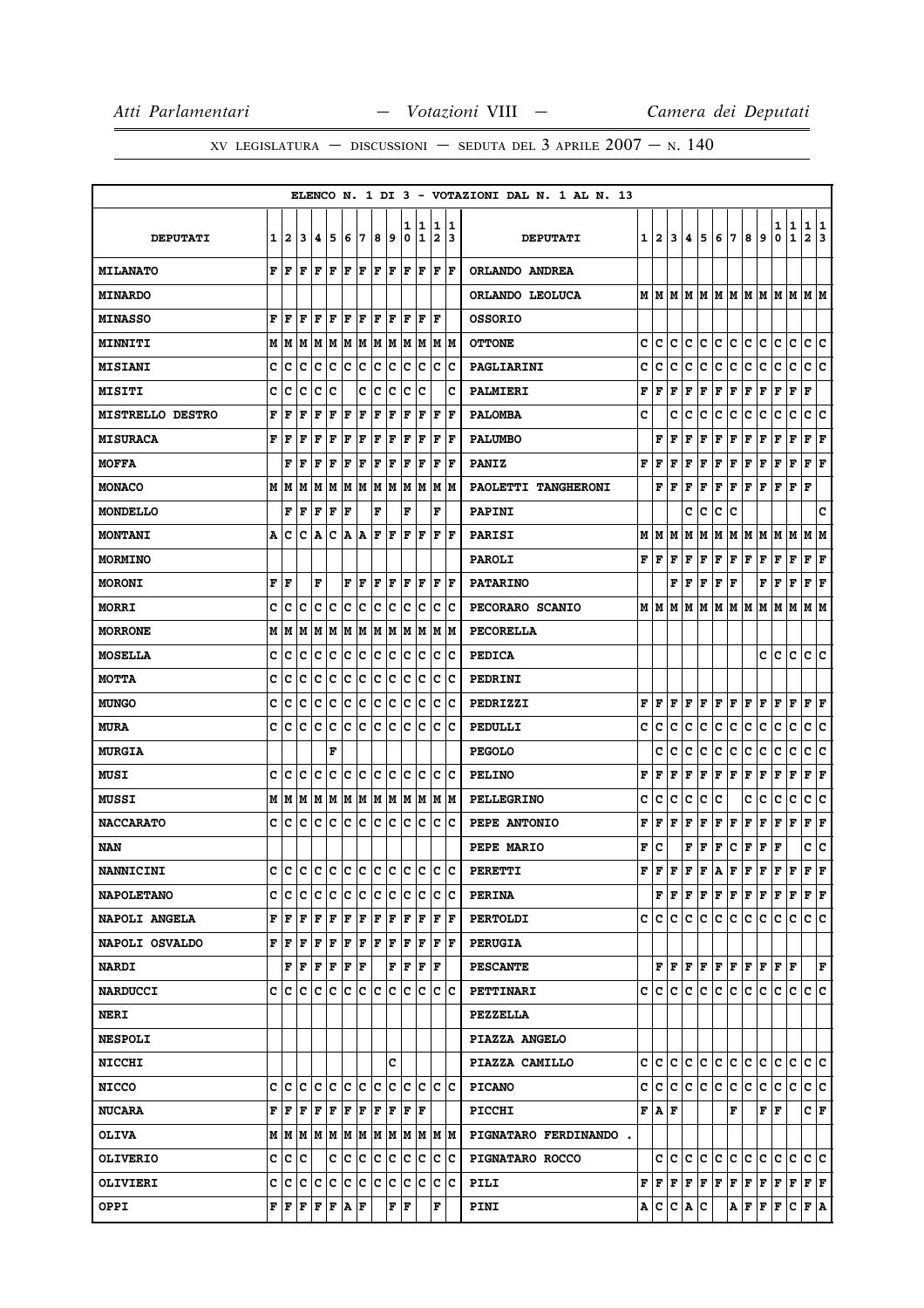|                         |   |         |                                                                                                                                                                 |     |                  |     |     |     |    |        |        |                              |          | ELENCO N. 1 DI 3 - VOTAZIONI DAL N. 1 AL N. 13 |   |                           |         |   |         |             |                     |     |                                                                                                                                                                            |         |                   |                      |         |
|-------------------------|---|---------|-----------------------------------------------------------------------------------------------------------------------------------------------------------------|-----|------------------|-----|-----|-----|----|--------|--------|------------------------------|----------|------------------------------------------------|---|---------------------------|---------|---|---------|-------------|---------------------|-----|----------------------------------------------------------------------------------------------------------------------------------------------------------------------------|---------|-------------------|----------------------|---------|
| <b>DEPUTATI</b>         | 1 | 2       | 3                                                                                                                                                               | 14  | 5                | 6   | 17  | 8   | 9  | ı<br>0 | 1<br>1 | 1<br>$\overline{\mathbf{2}}$ | 11<br>13 | <b>DEPUTATI</b>                                |   | $1 \, 2$                  | 3       | 4 | 5       | 6           | 17                  | 8   | 9                                                                                                                                                                          | 1<br>0  | 1<br>$\mathbf{1}$ | 1<br>$\mathbf{2}$    | 1<br>13 |
| <b>MILANATO</b>         | F | ١F      | l F                                                                                                                                                             | lF. | ١F               | F   | lF. | l F | F  | lF.    | F      | F                            | F        | ORLANDO ANDREA                                 |   |                           |         |   |         |             |                     |     |                                                                                                                                                                            |         |                   |                      |         |
| <b>MINARDO</b>          |   |         |                                                                                                                                                                 |     |                  |     |     |     |    |        |        |                              |          | ORLANDO LEOLUCA                                |   | MM                        | lM l    |   |         |             | IM IM IM IM IM      |     |                                                                                                                                                                            | MM      |                   | M  M                 |         |
| <b>MINASSO</b>          | F | l F     | l F                                                                                                                                                             | F   | ΙF               | F   | ΙF  | ΙF  | F  | l F    | F      | F                            |          | <b>OSSORIO</b>                                 |   |                           |         |   |         |             |                     |     |                                                                                                                                                                            |         |                   |                      |         |
| <b>MINNITI</b>          |   |         | $M$   $M$   $M$   $M$   $M$   $M$   $M$   $M$                                                                                                                   |     |                  |     |     |     |    |        | MMMM   |                              |          | <b>OTTONE</b>                                  | c | c                         | c       | c | lc.     | c           | c                   | c   | c                                                                                                                                                                          | c       | c                 | c                    | lc.     |
| <b>MISIANI</b>          | c | с       | c                                                                                                                                                               | Iс  | Iс               | Ιc  | c   | c   | IС | c      | IС     | c                            | ΙC       | PAGLIARINI                                     | c | c                         | c       | c | с       | c           | c                   | с   | c                                                                                                                                                                          | c       | $\mathbf C$       | c                    | lc.     |
| MISITI                  | c | C       | Iс                                                                                                                                                              | Iс  | Ιc               |     | c   | Ιc  | c  | c      | Iс     |                              | c        | PALMIERI                                       | F | F                         | F       | F | F       | F           | F                   | F   | F                                                                                                                                                                          | F       | F                 | F                    |         |
| <b>MISTRELLO DESTRO</b> | F | F       | F                                                                                                                                                               | F   | F                | F   | F   | F   | F  | ΙF     | ΙF     | F                            | l F      | <b>PALOMBA</b>                                 | c |                           | c       | c | c       | с           | с                   | с   | c                                                                                                                                                                          | с       | c                 | с                    | C       |
| <b>MISURACA</b>         | F | F       | F                                                                                                                                                               | F   | F                | F   | F   | F   | F  | F      | F      | F                            | l F      | <b>PALUMBO</b>                                 |   | F                         | F       | F | F       | Г           | F                   | Г   | F                                                                                                                                                                          | Г       | F                 | $ {\bf F}  {\bf F} $ |         |
| <b>MOFFA</b>            |   | F       | l F                                                                                                                                                             | F   | F                | F   | F   | F   | F  | F      | F      | $\mathbf F$                  | l F      | <b>PANIZ</b>                                   | F | F                         | F       | F | F       | F           | $\mathbf{F}$        | Г   | F                                                                                                                                                                          | Г       | F                 | F                    | F       |
| <b>MONACO</b>           |   | MIM     | M                                                                                                                                                               | M   | M                |     | M M | M M |    |        | M M    |                              | M  M     | PAOLETTI TANGHERONI                            |   | F                         | F       | F | F       | F           | F                   | F   | F                                                                                                                                                                          | F       | F                 | F                    |         |
| MONDELLO                |   | F       | F                                                                                                                                                               | F   | F                | F   |     | F   |    | F      |        | F                            |          | PAPINI                                         |   |                           |         | c | с       | c           | c                   |     |                                                                                                                                                                            |         |                   |                      | c       |
| <b>MONTANI</b>          | Α | c       | c                                                                                                                                                               | A   | c                | A   | A   | F   | F  | F      | ΙF     | F                            | l F      | <b>PARISI</b>                                  | М | M                         | M       | Μ | M       | М           | M                   | M   | M                                                                                                                                                                          | M       | lМ                | M                    | IМ      |
| MORMINO                 |   |         |                                                                                                                                                                 |     |                  |     |     |     |    |        |        |                              |          | <b>PAROLI</b>                                  |   | ${\bf F}$ $\bf F$ $\bf F$ |         | F | F       | F           | F                   | F   | F                                                                                                                                                                          | F       | F                 | $ {\bf F}  {\bf F} $ |         |
| <b>MORONI</b>           | F | F       |                                                                                                                                                                 | F   |                  | F   | F   | F   | F  | F      | ΙF     | F                            | lF.      | <b>PATARINO</b>                                |   |                           | F       | F | F       | F           | F                   |     | F                                                                                                                                                                          | F       | F                 | Г                    | F       |
| <b>MORRI</b>            | C | c       | c                                                                                                                                                               | Iс  | c                | c   | c   | c   | c  | c      | c      | c                            | Ιc       | PECORARO SCANIO                                |   | MIM                       | M       | М | M       | M           | M                   | M   | M                                                                                                                                                                          | M       | M                 | M  M                 |         |
| <b>MORRONE</b>          | М | lМ      | lМ                                                                                                                                                              |     | MM               |     | MM  | M M |    |        | M M    | M                            | lМ       | PECORELLA                                      |   |                           |         |   |         |             |                     |     |                                                                                                                                                                            |         |                   |                      |         |
| <b>MOSELLA</b>          | c | C       | c                                                                                                                                                               | Iс  | Ιc               | Ιc  | ΙC  | Iс  | Iс | c      | Ιc     | c                            | Ιc       | <b>PEDICA</b>                                  |   |                           |         |   |         |             |                     |     | c                                                                                                                                                                          | c       | c                 | c                    | ΙC      |
| <b>MOTTA</b>            | c | Iс      | c                                                                                                                                                               | Iс  | Iс               | c   | c   | c   | c  | lc.    | Iс     | IС                           | Ιc       | PEDRINI                                        |   |                           |         |   |         |             |                     |     |                                                                                                                                                                            |         |                   |                      |         |
| <b>MUNGO</b>            | c | c       | c                                                                                                                                                               | Iс  | Ιc               | Iс  | c   | lc  | Iс | lc.    | lc.    | c                            | Ιc       | PEDRIZZI                                       | F | l F                       | F       | F | F       | F           | F                   | F   | F                                                                                                                                                                          | F       | F                 | F                    | F       |
| <b>MURA</b>             | c | Ιc      | lc.                                                                                                                                                             | Ιc  | Ιc               | lc. | IC. | Ιc  | Iс | Ιc     | Iс     | c                            | Ιc       | PEDULLI                                        | c | c                         | с       | c | с       | c           | c                   | с   | c                                                                                                                                                                          | с       | c                 | c                    | c       |
| <b>MURGIA</b>           |   |         |                                                                                                                                                                 |     | F                |     |     |     |    |        |        |                              |          | <b>PEGOLO</b>                                  |   | c                         | c       | c | c       | с           | с                   | с   | c                                                                                                                                                                          | с       | c                 | c                    | c       |
| MUSI                    | c | Iс      | lc                                                                                                                                                              | Iс  | Ιc               | c   | c   | c   | c  | c      | Iс     | c                            | Ιc       | <b>PELINO</b>                                  | F | F                         | F       | F | F       | $\mathbf F$ | F                   | F   | F                                                                                                                                                                          | г       | F                 | F                    | F       |
| <b>MUSSI</b>            |   | MM      | M                                                                                                                                                               |     | M  M  M  M  M  M |     |     |     |    |        | MMMM   |                              |          | <b>PELLEGRINO</b>                              | c | c                         | c       | c | с       | c           |                     | c   | c                                                                                                                                                                          | c       | c                 | c                    | c       |
| <b>NACCARATO</b>        | c | Iс      | Iс                                                                                                                                                              | Ιc  | Ιc               | Iс  | ΙC  | Ιc  | Iс | Iс     | Iс     | Iс                           | ΙC       | PEPE ANTONIO                                   | F | F                         | F       | F | F       | F           | F                   | F   | F                                                                                                                                                                          | F       | F                 | F                    | F       |
| NAN                     |   |         |                                                                                                                                                                 |     |                  |     |     |     |    |        |        |                              |          | <b>PEPE MARIO</b>                              | F | c                         |         | F | F       | F           | c                   | F   | F                                                                                                                                                                          | F       |                   | c                    | ∣c      |
| <b>NANNICINI</b>        | c | lc      | ١c                                                                                                                                                              |     | le le le le le   |     |     |     |    | lc.    | lc     | lc.                          | ١c       | <b>PERETTI</b>                                 | F | l F                       | F       | F | F       | A           | F                   | F   | F                                                                                                                                                                          | F       | F                 | IF.                  | ΙF      |
| <b>NAPOLETANO</b>       |   |         | c  c  c                                                                                                                                                         | c c |                  | c c |     | c c |    | IC.    | Ιc     | Iс                           | ΙC       | <b>PERINA</b>                                  |   |                           |         |   |         |             |                     |     | ${\bf F}\, \,{\bf F}\, \,{\bf F}\, \,{\bf F}\, \,{\bf F}\, \,{\bf F}\, \,{\bf F}\, \,{\bf F}\, \,{\bf F}\, \,{\bf F}\,$                                                    |         |                   | F F                  |         |
| NAPOLI ANGELA           |   | F  F    | F                                                                                                                                                               | F F |                  | F F |     | F   | F  | F      | ١F     | F                            | ١F       | <b>PERTOLDI</b>                                | c | IC.                       | с       | c | IC.     | с           | C                   | c.  | с                                                                                                                                                                          | с       | С                 | c c                  |         |
| NAPOLI OSVALDO          |   | FFF     |                                                                                                                                                                 | F F |                  | F F |     | F F |    | F      | F      | F                            | ١F       | <b>PERUGIA</b>                                 |   |                           |         |   |         |             |                     |     |                                                                                                                                                                            |         |                   |                      |         |
| <b>NARDI</b>            |   |         | ${\bf F}$ $\left  {\bf F} \right.$ $\left  {\bf F} \right.$ $\left  {\bf F} \right.$ $\left  {\bf F} \right.$ $\left  {\bf F} \right.$                          |     |                  |     |     |     | F  | F      | F      | F                            |          | <b>PESCANTE</b>                                |   |                           |         |   |         |             |                     |     | ${\bf F} \,   \, {\bf F} \,   \, {\bf F} \,   \, {\bf F} \,   \, {\bf F} \,   \, {\bf F} \,   \, {\bf F} \,   \, {\bf F} \,   \, {\bf F} \,$                               |         |                   |                      | F       |
| <b>NARDUCCI</b>         |   |         | c  c  c  c  c  c  c  c  c                                                                                                                                       |     |                  |     |     |     |    | lc.    | ΙC     |                              | ic ic    | PETTINARI                                      |   | c  c                      |         |   |         |             | c c c c c c c c     |     |                                                                                                                                                                            | lc.     | c c c             |                      |         |
| <b>NERI</b>             |   |         |                                                                                                                                                                 |     |                  |     |     |     |    |        |        |                              |          | <b>PEZZELLA</b>                                |   |                           |         |   |         |             |                     |     |                                                                                                                                                                            |         |                   |                      |         |
| <b>NESPOLI</b>          |   |         |                                                                                                                                                                 |     |                  |     |     |     |    |        |        |                              |          | PIAZZA ANGELO                                  |   |                           |         |   |         |             |                     |     |                                                                                                                                                                            |         |                   |                      |         |
| <b>NICCHI</b>           |   |         |                                                                                                                                                                 |     |                  |     |     |     | c  |        |        |                              |          | PIAZZA CAMILLO                                 |   |                           |         |   |         |             | c c c c c c c c c c |     |                                                                                                                                                                            | c c c c |                   |                      |         |
| <b>NICCO</b>            |   | c Ic    | Ιc                                                                                                                                                              | c c |                  | c c |     | lc  | Iс | lc.    | lc     | c                            | ΙC       | <b>PICANO</b>                                  | c |                           |         |   | c c c c | ∣c∙         | c                   | c.  | с                                                                                                                                                                          | c       | С                 | c c                  |         |
| <b>NUCARA</b>           |   |         | $\mathbf{F} \mathbf{F} \mathbf{F} \mathbf{F} \mathbf{F}$                                                                                                        |     |                  | F F |     | F   | F  | lF.    | ١F     |                              |          | <b>PICCHI</b>                                  |   | F A F                     |         |   |         |             | F                   |     | FF                                                                                                                                                                         |         |                   | C F                  |         |
| <b>OLIVA</b>            |   |         |                                                                                                                                                                 |     |                  |     |     |     |    |        |        |                              |          | PIGNATARO FERDINANDO.                          |   |                           |         |   |         |             |                     |     |                                                                                                                                                                            |         |                   |                      |         |
| <b>OLIVERIO</b>         |   | c  c  c |                                                                                                                                                                 |     | C C              |     | ∣c  | C C |    |        | c c    |                              | ∣c ∣c    | PIGNATARO ROCCO                                |   |                           |         |   | c c c c | c c         |                     | c c |                                                                                                                                                                            | c c     |                   | lc lc                |         |
| <b>OLIVIERI</b>         |   |         | c c c c c c c c c c                                                                                                                                             |     |                  |     |     |     |    |        | c c    | c c                          |          | PILI                                           |   |                           |         |   |         |             |                     |     | ${\bf F}\, \,{\bf F}\, \,{\bf F}\, \,{\bf F}\, \,{\bf F}\, \,{\bf F}\, \,{\bf F}\, \,{\bf F}\, \,{\bf F}\, \,{\bf F}\, \,{\bf F}\, \,{\bf F}\, \,{\bf F}\, \,{\bf F}\, \,$ |         |                   |                      |         |
| <b>OPPI</b>             |   |         | ${\bf F}$ $\left  {\bf F} \right.$ $\left  {\bf F} \right.$ $\left  {\bf F} \right.$ $\left  {\bf F} \right.$ $\left  {\bf F} \right.$ $\left  {\bf F} \right.$ |     |                  |     |     |     | F  | ΙF     |        | F                            |          | <b>PINI</b>                                    |   |                           | A C C A |   | IС      |             |                     |     | A F F F C F A                                                                                                                                                              |         |                   |                      |         |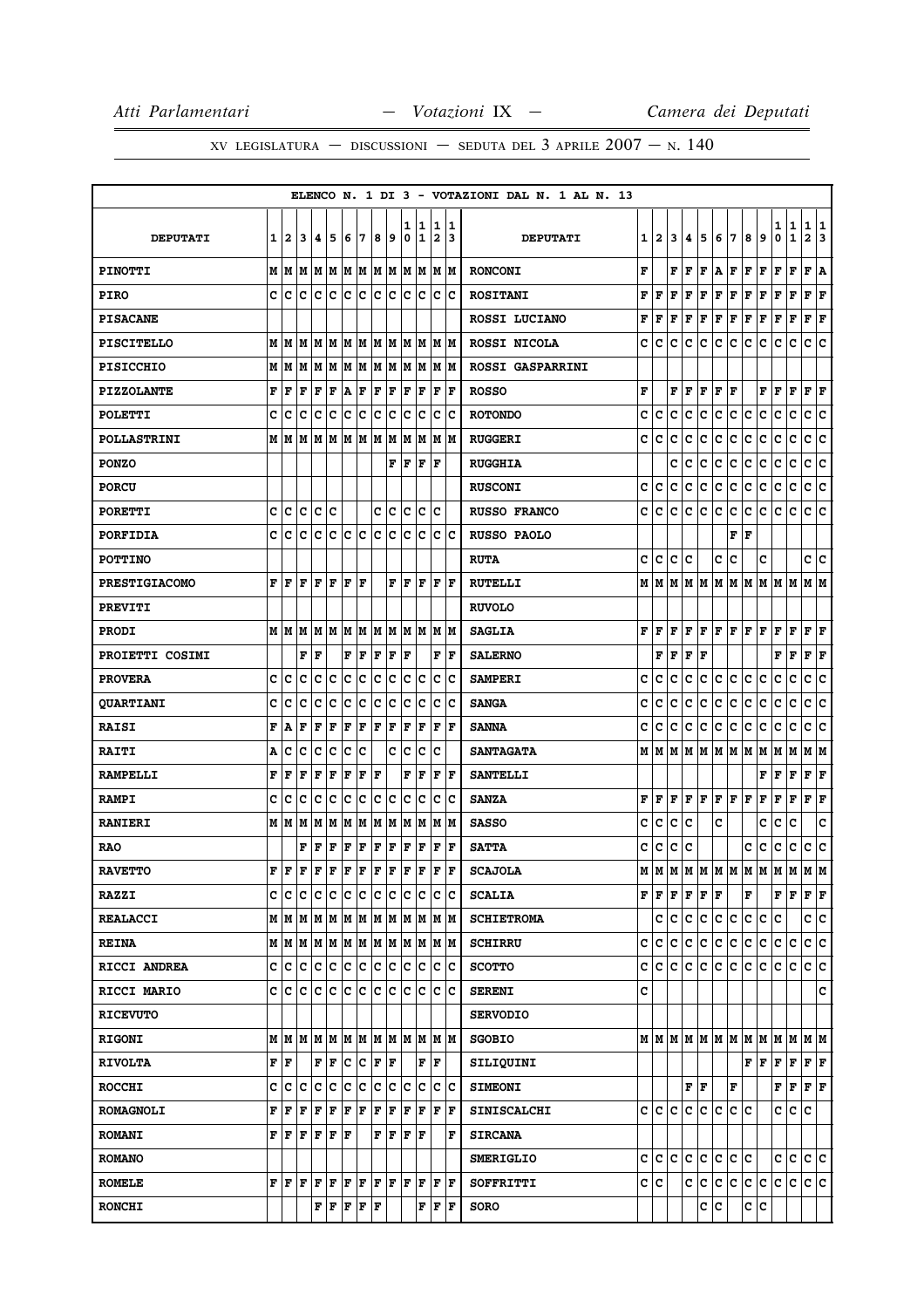|                      |              |                      |    |                     |                                                                                                                                                |                       |    |         |               |     |                         |     |                                                                       | ELENCO N. 1 DI 3 - VOTAZIONI DAL N. 1 AL N. 13 |     |     |    |                                     |         |                        |         |     |                       |      |              |                      |     |
|----------------------|--------------|----------------------|----|---------------------|------------------------------------------------------------------------------------------------------------------------------------------------|-----------------------|----|---------|---------------|-----|-------------------------|-----|-----------------------------------------------------------------------|------------------------------------------------|-----|-----|----|-------------------------------------|---------|------------------------|---------|-----|-----------------------|------|--------------|----------------------|-----|
|                      |              |                      |    |                     |                                                                                                                                                |                       |    |         |               | 1   | 1                       | 1   | 11                                                                    |                                                |     |     |    |                                     |         |                        |         |     |                       | 1    | $\mathbf{1}$ | 1                    | 1   |
| <b>DEPUTATI</b>      | $\mathbf{1}$ | 2                    | 3  | 4                   | 5                                                                                                                                              | 6                     | 7  | 8   9   |               | 0   | 1                       |     | 2 3                                                                   | <b>DEPUTATI</b>                                |     | 1 2 | 3  | 4                                   | 5       | 6                      | 17      | 8   | 9                     | 0    | $\mathbf 1$  | $\mathbf{2}$         | 3   |
| <b>PINOTTI</b>       |              |                      |    |                     |                                                                                                                                                |                       |    |         |               |     |                         |     | $M$   $M$   $M$   $M$   $M$   $M$   $M$   $M$   $M$   $M$   $M$   $M$ | <b>RONCONI</b>                                 | F   |     | F  | l F                                 | ΙF      | $\mathbf{A}$           | F       | F   | l F                   | F    | $\mathbf{F}$ | F A                  |     |
| <b>PIRO</b>          | c            | c                    |    |                     | c  c  c  c  c  c  c  c  c                                                                                                                      |                       |    |         |               |     |                         |     | c c                                                                   | <b>ROSITANI</b>                                | F   | F   | F  | F                                   | F       | F                      | F       | F   | F                     | F    | F            | $ {\bf F}  {\bf F} $ |     |
| <b>PISACANE</b>      |              |                      |    |                     |                                                                                                                                                |                       |    |         |               |     |                         |     |                                                                       | ROSSI LUCIANO                                  | F   | F   | F  | F                                   | F       | F                      | F       | F   | F                     | F    | $\mathbf F$  | F                    | F   |
| <b>PISCITELLO</b>    |              |                      |    |                     |                                                                                                                                                |                       |    |         |               |     |                         |     | $M$   $M$   $M$   $M$   $M$   $M$   $M$   $M$   $M$   $M$   $M$   $M$ | ROSSI NICOLA                                   | с   | c   | c  | c                                   | c       | с                      | c       | c   | c                     | с    | c            | c c                  |     |
| <b>PISICCHIO</b>     | М            | M                    | M  |                     | імімімімімімім                                                                                                                                 |                       |    |         |               |     |                         |     | IM IM                                                                 | ROSSI GASPARRINI                               |     |     |    |                                     |         |                        |         |     |                       |      |              |                      |     |
| <b>PIZZOLANTE</b>    | F            | F                    | F  | F                   | F                                                                                                                                              | $ {\bf A} $ ${\bf F}$ |    | F F     |               | F   | F                       | F   | F                                                                     | <b>ROSSO</b>                                   | F   |     | F  | l F                                 | F       | F                      | F       |     | F                     | F    | F            | $ {\bf F}  {\bf F} $ |     |
| <b>POLETTI</b>       | C            | c                    | c  | c                   | c                                                                                                                                              | c c                   |    | c c     |               | lc. | Ιc                      |     | c c                                                                   | <b>ROTONDO</b>                                 | C   | C   | C  | C                                   | C       | c                      | c       | c   | c                     | c    | c            | c                    | lc. |
| <b>POLLASTRINI</b>   | М            | M                    |    |                     |                                                                                                                                                |                       |    |         |               |     |                         |     |                                                                       | <b>RUGGERI</b>                                 | c   | c   | C  | C                                   | c       | c                      | c       | c   | c                     | c    | c            | c                    | c   |
| <b>PONZO</b>         |              |                      |    |                     |                                                                                                                                                |                       |    |         |               |     | $\bf F$ $\bf F$ $\bf F$ | ١F  |                                                                       | <b>RUGGHIA</b>                                 |     |     | c  | c                                   | c       | c                      | c       | c   | c                     | c    | c            | c c                  |     |
| <b>PORCU</b>         |              |                      |    |                     |                                                                                                                                                |                       |    |         |               |     |                         |     |                                                                       | <b>RUSCONI</b>                                 | c   | c   | c  | c                                   | c       | c                      | c       | c   | c                     | c    | с            | c                    | c   |
| <b>PORETTI</b>       | c            | c.                   | c. |                     | c c                                                                                                                                            |                       |    |         | c c           |     | c c                     | Iс  |                                                                       | <b>RUSSO FRANCO</b>                            | c   | c   | c  | c                                   | c       | c                      | c       | c   | c                     | с    | c            | c c                  |     |
| <b>PORFIDIA</b>      | C            | c                    | C  | c                   | c                                                                                                                                              | c c                   |    | c c     |               | lc. | Ιc                      |     | $ {\bf c}\> {\bf c}$                                                  | <b>RUSSO PAOLO</b>                             |     |     |    |                                     |         |                        | F       | l F |                       |      |              |                      |     |
| <b>POTTINO</b>       |              |                      |    |                     |                                                                                                                                                |                       |    |         |               |     |                         |     |                                                                       | <b>RUTA</b>                                    | c   | lc. | c  | C                                   |         | c                      | C       |     | C                     |      |              | c c                  |     |
| <b>PRESTIGIACOMO</b> | F            | F                    | F  | lF.                 | F                                                                                                                                              | F                     | lF |         |               |     | $\bf F \bf F \bf F$     |     | IF IF                                                                 | <b>RUTELLI</b>                                 | M   | M   |    |                                     |         |                        |         |     | MMMMMMMMMMM           |      |              | M  M                 |     |
| <b>PREVITI</b>       |              |                      |    |                     |                                                                                                                                                |                       |    |         |               |     |                         |     |                                                                       | <b>RUVOLO</b>                                  |     |     |    |                                     |         |                        |         |     |                       |      |              |                      |     |
| <b>PRODI</b>         |              |                      |    |                     |                                                                                                                                                |                       |    |         |               |     |                         |     | $M$   $M$   $M$   $M$   $M$   $M$   $M$   $M$   $M$   $M$   $M$   $M$ | <b>SAGLIA</b>                                  | F   | lF. | F  | F                                   | ١F      | F F                    |         | F F |                       | F    | l F          | $ {\bf F}  {\bf F} $ |     |
| PROIETTI COSIMI      |              |                      | F  | F                   |                                                                                                                                                | F                     | F  | F       | F             | F   |                         |     | ${\bf F}$ $\vert {\bf F} \vert$                                       | <b>SALERNO</b>                                 |     | F   | F  | $\mathbf F$                         | l F     |                        |         |     |                       | F    | F            | F                    | ΙF  |
| <b>PROVERA</b>       | c            | c                    | c  | c                   | c                                                                                                                                              | c                     | ∣c | c       | c             | c   | c                       |     | c c                                                                   | <b>SAMPERI</b>                                 | c   | C   | c  | c                                   | c       | $\mathbf{C}$           | c       | c   | c                     | c    | $\mathbf C$  | c c                  |     |
| <b>QUARTIANI</b>     | C            | C                    | C  | C                   | c                                                                                                                                              | lc                    | c  | c       | c             | lc. | lc                      | lc. | lc                                                                    | <b>SANGA</b>                                   | C   | C   | C  | c                                   | c       | c                      | c       | c   | c                     | c    | $\mathbf C$  | c                    | lc. |
| <b>RAISI</b>         | F            | A                    | F  | F                   | F                                                                                                                                              | F                     | F  | F       | F             | F   | F                       | F   | ١F                                                                    | <b>SANNA</b>                                   | c   | c   | C  | c                                   | c       | c                      | c       | c   | c                     | с    | $\mathbf C$  | c                    | ١c  |
| <b>RAITI</b>         | A            | c                    | c  | с                   | c                                                                                                                                              | c                     | ١c |         | c             | lc  | Ιc                      | Ιc  |                                                                       | <b>SANTAGATA</b>                               | M   | M   | lм |                                     | M M     |                        | M M M M |     |                       | M    | lм           | MM                   |     |
| <b>RAMPELLI</b>      | F            | F                    | F  | F                   | F                                                                                                                                              | F                     | F  | F       |               | F   | F                       | l F | lF                                                                    | <b>SANTELLI</b>                                |     |     |    |                                     |         |                        |         |     | F                     | F    | $\mathbf F$  | F                    | lF. |
| <b>RAMPI</b>         | c            | c                    | c  | c                   | $\bar{\mathbf{c}}$                                                                                                                             | c c                   |    | c c     |               |     | lc Ic                   |     | c c                                                                   | <b>SANZA</b>                                   | F   |     |    | $\bf{F}$ $\bf{F}$ $\bf{F}$ $\bf{F}$ |         | F F                    |         | F   | F                     | F    | F            | $ {\bf F}  {\bf F} $ |     |
| <b>RANIERI</b>       | М            | lм                   | М  | М                   | M  M  M  M  M  M                                                                                                                               |                       |    |         |               |     | M                       |     | M M                                                                   | <b>SASSO</b>                                   | с   | c   | c  | c                                   |         | c                      |         |     | c                     | c    | c            |                      | c   |
| <b>RAO</b>           |              |                      |    | FF                  | F                                                                                                                                              | F                     | F  | F F     |               | F F |                         |     | F   F                                                                 | <b>SATTA</b>                                   | c   | c   |    | c c                                 |         |                        |         | c   | c                     | c    | $\mathbf{C}$ | c c                  |     |
| <b>RAVETTO</b>       | F            | lF.                  |    |                     |                                                                                                                                                |                       |    |         |               |     |                         | F   | lF.                                                                   | <b>SCAJOLA</b>                                 | M   | lм  |    |                                     |         |                        |         |     | м м м м м м м м м м м |      |              |                      |     |
| <b>RAZZI</b>         | C I          | С                    | c  |                     |                                                                                                                                                |                       |    |         |               |     |                         |     | c  c  c  c  c  c  c  c  c  c                                          | <b>SCALIA</b>                                  | F F |     | F  |                                     | F F F   |                        |         | F   |                       | F F. |              | F F                  |     |
| <b>REALACCI</b>      |              |                      |    |                     |                                                                                                                                                |                       |    |         |               |     |                         |     | $M$   $M$   $M$   $M$   $M$   $M$   $M$   $M$   $M$   $M$   $M$   $M$ | <b>SCHIETROMA</b>                              |     | c   | c. | c.                                  | c.      | c c                    |         | c c |                       | lc.  |              | c c                  |     |
| <b>REINA</b>         |              |                      |    |                     |                                                                                                                                                |                       |    |         |               |     |                         |     | $M$   $M$   $M$   $M$   $M$   $M$   $M$   $M$   $M$   $M$   $M$   $M$ | <b>SCHIRRU</b>                                 | c   | lc. | c  | c                                   | c       | c.                     | c       | c   | c                     | c    | c            | c c                  |     |
| RICCI ANDREA         | c            |                      |    |                     |                                                                                                                                                |                       |    |         |               |     |                         |     | c  c  c  c  c  c  c  c  c  c  c  c                                    | <b>SCOTTO</b>                                  | c   |     |    |                                     | c c c c | ∣c∙                    | c       | ∣c∙ | lc.                   | lc.  | lc.          | c c                  |     |
| RICCI MARIO          | c            | с                    | c  | c                   | c                                                                                                                                              | c c                   |    | c c     |               | IC. | Iс                      |     | c c                                                                   | <b>SERENI</b>                                  | c   |     |    |                                     |         |                        |         |     |                       |      |              |                      | c   |
| <b>RICEVUTO</b>      |              |                      |    |                     |                                                                                                                                                |                       |    |         |               |     |                         |     |                                                                       | <b>SERVODIO</b>                                |     |     |    |                                     |         |                        |         |     |                       |      |              |                      |     |
| <b>RIGONI</b>        |              |                      |    |                     |                                                                                                                                                |                       |    |         |               |     |                         |     |                                                                       | <b>SGOBIO</b>                                  |     |     |    |                                     |         |                        |         |     | MMMMMMMMMMMMMMM       |      |              |                      |     |
| <b>RIVOLTA</b>       |              | F F                  |    |                     | F F                                                                                                                                            |                       |    | C C F F |               |     |                         | F F |                                                                       | SILIQUINI                                      |     |     |    |                                     |         |                        |         | F F |                       | F    | F F F        |                      |     |
| <b>ROCCHI</b>        | c            | c                    | c  |                     | c c c c c c c c c                                                                                                                              |                       |    |         |               |     |                         |     | c c                                                                   | <b>SIMEONI</b>                                 |     |     |    |                                     | F F.    |                        | F       |     |                       | F    | F            | $ {\bf F}  {\bf F} $ |     |
| <b>ROMAGNOLI</b>     | F            | F                    | F  | F                   | F                                                                                                                                              |                       |    | F F F F |               |     |                         |     | F F F F                                                               | <b>SINISCALCHI</b>                             |     | c/c | c  | c                                   | c c     |                        | c c     |     |                       | c    | С            | lc.                  |     |
| <b>ROMANI</b>        | F            |                      |    |                     | F F F F F                                                                                                                                      |                       |    |         | F   F   F   F |     |                         |     | F                                                                     | <b>SIRCANA</b>                                 |     |     |    |                                     |         |                        |         |     |                       |      |              |                      |     |
| <b>ROMANO</b>        |              |                      |    |                     |                                                                                                                                                |                       |    |         |               |     |                         |     |                                                                       | <b>SMERIGLIO</b>                               | c   | lc. | c  | c                                   | c       | c.                     | c c     |     |                       | c    | c            | c c                  |     |
| <b>ROMELE</b>        | F            | $ {\bf F}  {\bf F} $ |    | $ {\bf F}  {\bf F}$ |                                                                                                                                                | F F                   |    | F F     |               | F F |                         |     | F   F                                                                 | SOFFRITTI                                      | c c |     |    |                                     | c c     | $ {\tt c}\, {\tt c}\>$ |         | c c |                       | c    | c.           | c c                  |     |
| <b>RONCHI</b>        |              |                      |    |                     | $\mathbf{F} \left  \mathbf{F} \right. \left  \mathbf{F} \right. \left  \mathbf{F} \right. \left  \mathbf{F} \right. \left  \mathbf{F} \right.$ |                       |    |         |               |     |                         |     | F F F                                                                 | <b>SORO</b>                                    |     |     |    |                                     | c       | c                      |         | c c |                       |      |              |                      |     |